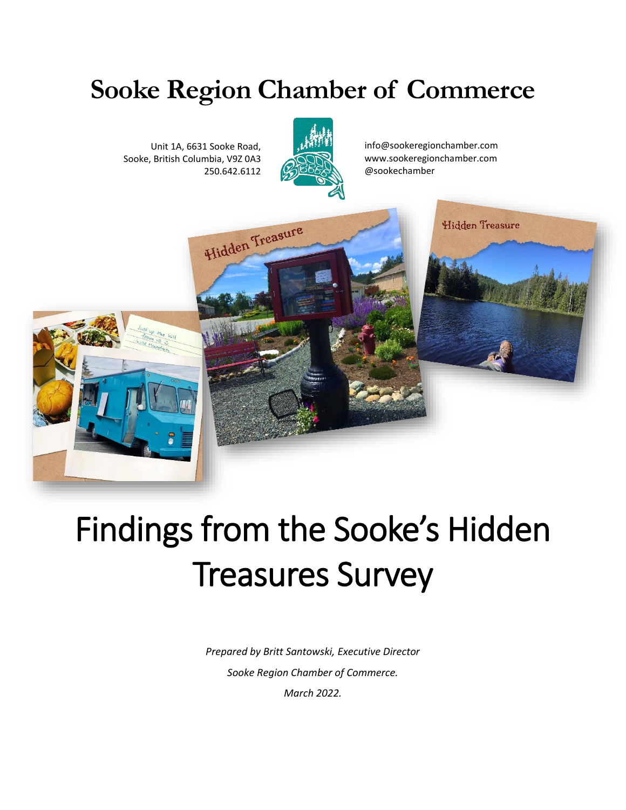# **Sooke Region Chamber of Commerce**

Unit 1A, 6631 Sooke Road, Sooke, British Columbia, V9Z 0A3 250.642.6112



info@sookeregionchamber.com www.sookeregionchamber.com @sookechamber



# Findings from the Sooke's Hidden Treasures Survey

*Prepared by Britt Santowski, Executive Director Sooke Region Chamber of Commerce. March 2022.*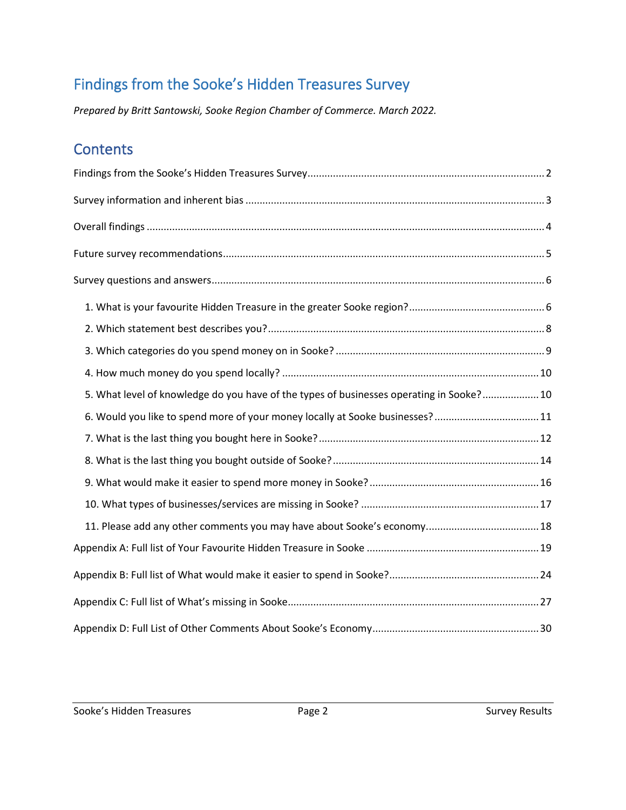# <span id="page-1-0"></span>Findings from the Sooke's Hidden Treasures Survey

*Prepared by Britt Santowski, Sooke Region Chamber of Commerce. March 2022.*

### **Contents**

| 5. What level of knowledge do you have of the types of businesses operating in Sooke? 10 |  |
|------------------------------------------------------------------------------------------|--|
|                                                                                          |  |
|                                                                                          |  |
|                                                                                          |  |
|                                                                                          |  |
|                                                                                          |  |
|                                                                                          |  |
|                                                                                          |  |
|                                                                                          |  |
|                                                                                          |  |
|                                                                                          |  |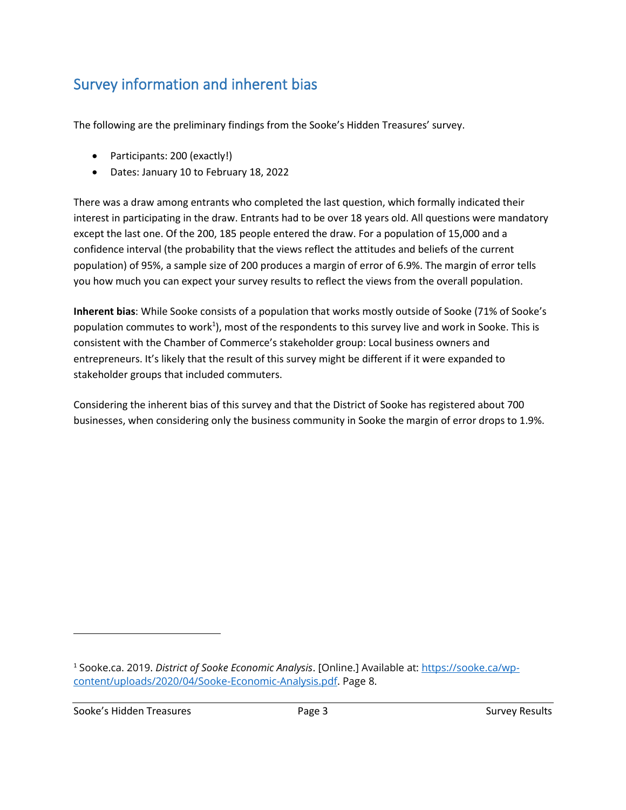# <span id="page-2-0"></span>Survey information and inherent bias

The following are the preliminary findings from the Sooke's Hidden Treasures' survey.

- Participants: 200 (exactly!)
- Dates: January 10 to February 18, 2022

There was a draw among entrants who completed the last question, which formally indicated their interest in participating in the draw. Entrants had to be over 18 years old. All questions were mandatory except the last one. Of the 200, 185 people entered the draw. For a population of 15,000 and a confidence interval (the probability that the views reflect the attitudes and beliefs of the current population) of 95%, a sample size of 200 produces a margin of error of 6.9%. The margin of error tells you how much you can expect your survey results to reflect the views from the overall population.

**Inherent bias**: While Sooke consists of a population that works mostly outside of Sooke (71% of Sooke's population commutes to work<sup>1</sup>), most of the respondents to this survey live and work in Sooke. This is consistent with the Chamber of Commerce's stakeholder group: Local business owners and entrepreneurs. It's likely that the result of this survey might be different if it were expanded to stakeholder groups that included commuters.

Considering the inherent bias of this survey and that the District of Sooke has registered about 700 businesses, when considering only the business community in Sooke the margin of error drops to 1.9%.

Sooke's Hidden Treasures **Exercise Sooke's Hidden Treasures** Page 3 Survey Results

<sup>1</sup> Sooke.ca. 2019. *District of Sooke Economic Analysis*. [Online.] Available at: [https://sooke.ca/wp](https://sooke.ca/wp-content/uploads/2020/04/Sooke-Economic-Analysis.pdf)[content/uploads/2020/04/Sooke-Economic-Analysis.pdf.](https://sooke.ca/wp-content/uploads/2020/04/Sooke-Economic-Analysis.pdf) Page 8.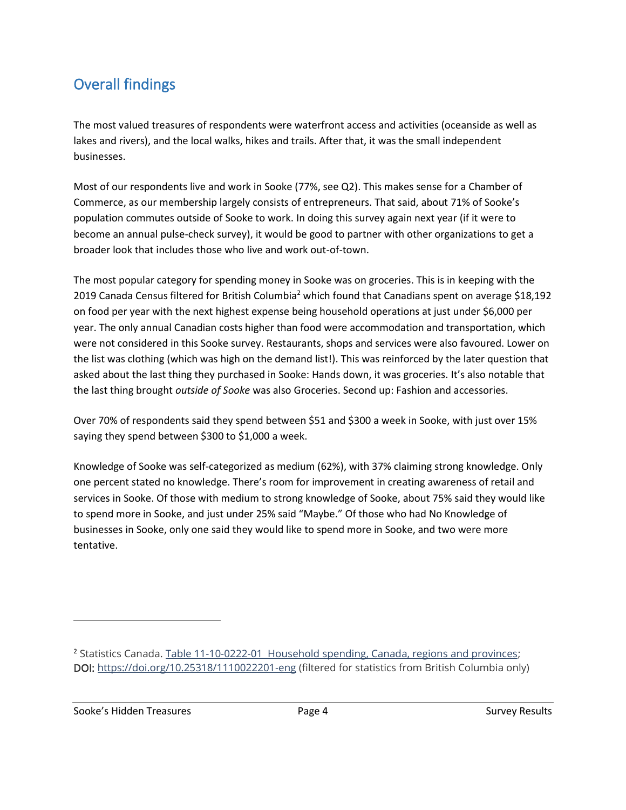# <span id="page-3-0"></span>Overall findings

The most valued treasures of respondents were waterfront access and activities (oceanside as well as lakes and rivers), and the local walks, hikes and trails. After that, it was the small independent businesses.

Most of our respondents live and work in Sooke (77%, see Q2). This makes sense for a Chamber of Commerce, as our membership largely consists of entrepreneurs. That said, about 71% of Sooke's population commutes outside of Sooke to work. In doing this survey again next year (if it were to become an annual pulse-check survey), it would be good to partner with other organizations to get a broader look that includes those who live and work out-of-town.

The most popular category for spending money in Sooke was on groceries. This is in keeping with the 2019 Canada Census filtered for British Columbia<sup>2</sup> which found that Canadians spent on average \$18,192 on food per year with the next highest expense being household operations at just under \$6,000 per year. The only annual Canadian costs higher than food were accommodation and transportation, which were not considered in this Sooke survey. Restaurants, shops and services were also favoured. Lower on the list was clothing (which was high on the demand list!). This was reinforced by the later question that asked about the last thing they purchased in Sooke: Hands down, it was groceries. It's also notable that the last thing brought *outside of Sooke* was also Groceries. Second up: Fashion and accessories.

Over 70% of respondents said they spend between \$51 and \$300 a week in Sooke, with just over 15% saying they spend between \$300 to \$1,000 a week.

Knowledge of Sooke was self-categorized as medium (62%), with 37% claiming strong knowledge. Only one percent stated no knowledge. There's room for improvement in creating awareness of retail and services in Sooke. Of those with medium to strong knowledge of Sooke, about 75% said they would like to spend more in Sooke, and just under 25% said "Maybe." Of those who had No Knowledge of businesses in Sooke, only one said they would like to spend more in Sooke, and two were more tentative.

Sooke's Hidden Treasures The Controller Page 4 Survey Results Assessment Results Assessment Results

<sup>2</sup> Statistics Canada. Table 11-10-0222-01 [Household spending, Canada, regions and provinces;](https://www150.statcan.gc.ca/t1/tbl1/en/tv.action?pid=1110022201) DOI:<https://doi.org/10.25318/1110022201-eng> (filtered for statistics from British Columbia only)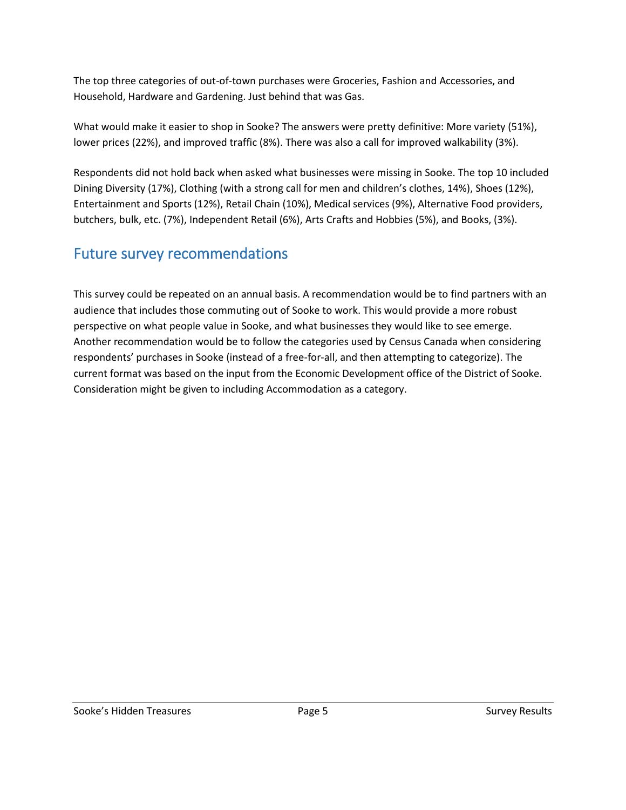The top three categories of out-of-town purchases were Groceries, Fashion and Accessories, and Household, Hardware and Gardening. Just behind that was Gas.

What would make it easier to shop in Sooke? The answers were pretty definitive: More variety (51%), lower prices (22%), and improved traffic (8%). There was also a call for improved walkability (3%).

Respondents did not hold back when asked what businesses were missing in Sooke. The top 10 included Dining Diversity (17%), Clothing (with a strong call for men and children's clothes, 14%), Shoes (12%), Entertainment and Sports (12%), Retail Chain (10%), Medical services (9%), Alternative Food providers, butchers, bulk, etc. (7%), Independent Retail (6%), Arts Crafts and Hobbies (5%), and Books, (3%).

## <span id="page-4-0"></span>Future survey recommendations

This survey could be repeated on an annual basis. A recommendation would be to find partners with an audience that includes those commuting out of Sooke to work. This would provide a more robust perspective on what people value in Sooke, and what businesses they would like to see emerge. Another recommendation would be to follow the categories used by Census Canada when considering respondents' purchases in Sooke (instead of a free-for-all, and then attempting to categorize). The current format was based on the input from the Economic Development office of the District of Sooke. Consideration might be given to including Accommodation as a category.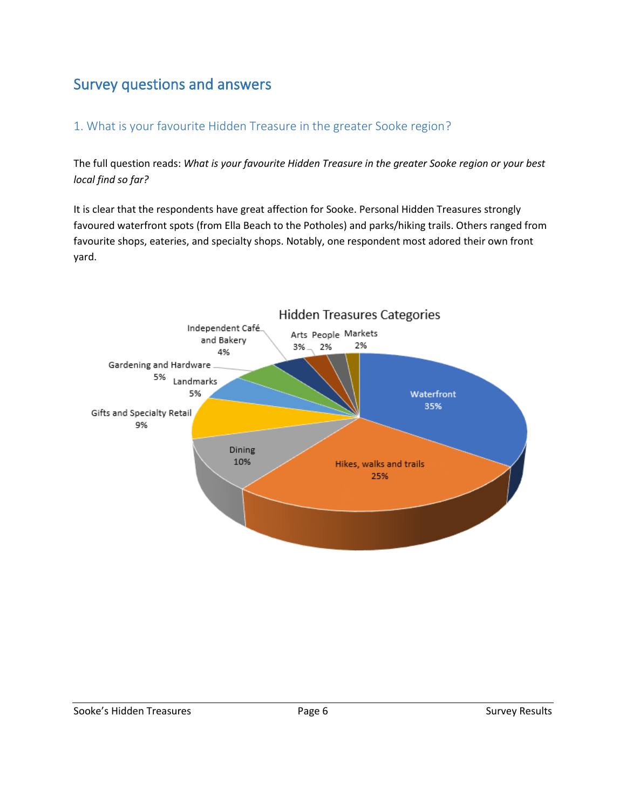# <span id="page-5-0"></span>Survey questions and answers

#### <span id="page-5-1"></span>1. What is your favourite Hidden Treasure in the greater Sooke region?

The full question reads: *What is your favourite Hidden Treasure in the greater Sooke region or your best local find so far?*

It is clear that the respondents have great affection for Sooke. Personal Hidden Treasures strongly favoured waterfront spots (from Ella Beach to the Potholes) and parks/hiking trails. Others ranged from favourite shops, eateries, and specialty shops. Notably, one respondent most adored their own front yard.

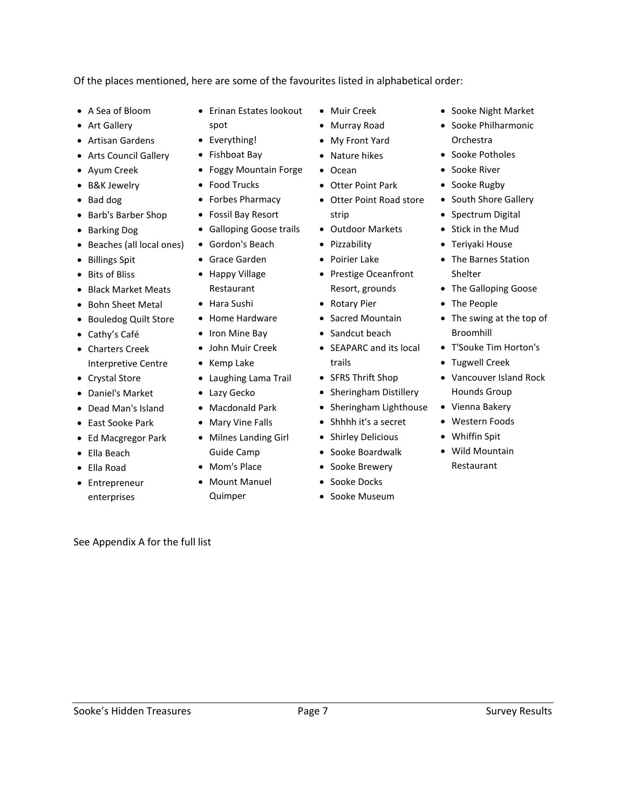See Appendix A for the full list

Of the places mentioned, here are some of the favourites listed in alphabetical order:

- A Sea of Bloom
- Art Gallery
- Artisan Gardens
- Arts Council Gallery
- Ayum Creek
- B&K Jewelry
- Bad dog
- Barb's Barber Shop
- Barking Dog
- Beaches (all local ones)
- Billings Spit
- Bits of Bliss
- Black Market Meats
- Bohn Sheet Metal
- Bouledog Quilt Store
- Cathy's Café
- Charters Creek Interpretive Centre
- Crystal Store
- Daniel's Market
- Dead Man's Island
- East Sooke Park
- Ed Macgregor Park
- Ella Beach
- Ella Road
- Entrepreneur enterprises

• Erinan Estates lookout spot

- Everything!
- Fishboat Bay • Foggy Mountain Forge
- Food Trucks
- Forbes Pharmacy
- Fossil Bay Resort
- Galloping Goose trails
- Gordon's Beach
- Grace Garden
- Happy Village Restaurant
- Hara Sushi
- Home Hardware
- Iron Mine Bay
- John Muir Creek
- Kemp Lake
- Laughing Lama Trail
- Lazy Gecko
- Macdonald Park
- Mary Vine Falls
- Milnes Landing Girl Guide Camp
- Mom's Place
- Mount Manuel Quimper
- Muir Creek
- Murray Road
- My Front Yard
- Nature hikes
- Ocean
- Otter Point Park
- Otter Point Road store strip
- Outdoor Markets
- Pizzability
- Poirier Lake
- Prestige Oceanfront Resort, grounds
- Rotary Pier
- Sacred Mountain
- Sandcut beach
- SEAPARC and its local trails
- SFRS Thrift Shop
- Sheringham Distillery
- Sheringham Lighthouse
- Shhhh it's a secret
- Shirley Delicious
- Sooke Boardwalk
- Sooke Brewery
- Sooke Docks
- Sooke Museum
- Sooke Night Market
- Sooke Philharmonic Orchestra
- Sooke Potholes
- Sooke River
- Sooke Rugby
- South Shore Gallery
- Spectrum Digital
- Stick in the Mud
- Teriyaki House
- The Barnes Station Shelter
- The Galloping Goose
- The People
- The swing at the top of Broomhill
- T'Souke Tim Horton's
- Tugwell Creek
- Vancouver Island Rock Hounds Group
- Vienna Bakery
- Western Foods
- Whiffin Spit
- Wild Mountain Restaurant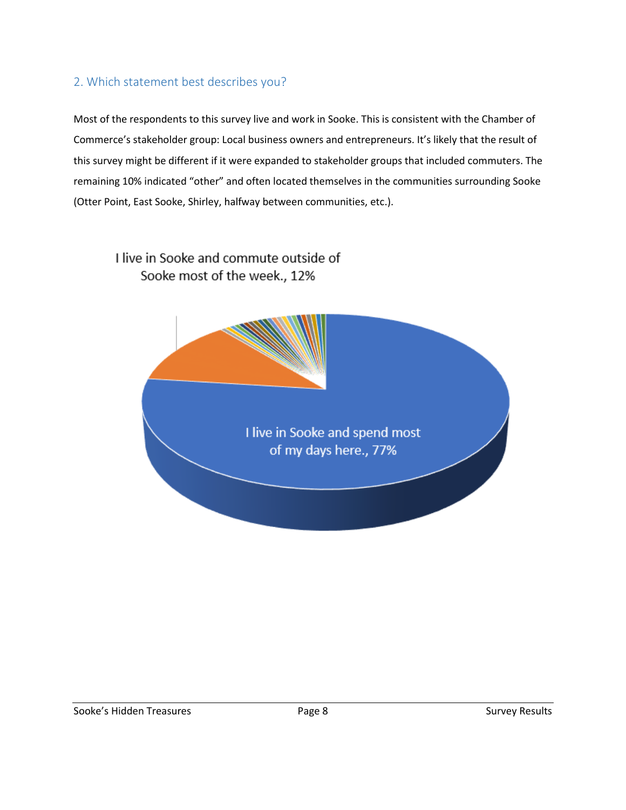#### <span id="page-7-0"></span>2. Which statement best describes you?

Most of the respondents to this survey live and work in Sooke. This is consistent with the Chamber of Commerce's stakeholder group: Local business owners and entrepreneurs. It's likely that the result of this survey might be different if it were expanded to stakeholder groups that included commuters. The remaining 10% indicated "other" and often located themselves in the communities surrounding Sooke (Otter Point, East Sooke, Shirley, halfway between communities, etc.).

#### I live in Sooke and commute outside of Sooke most of the week., 12%

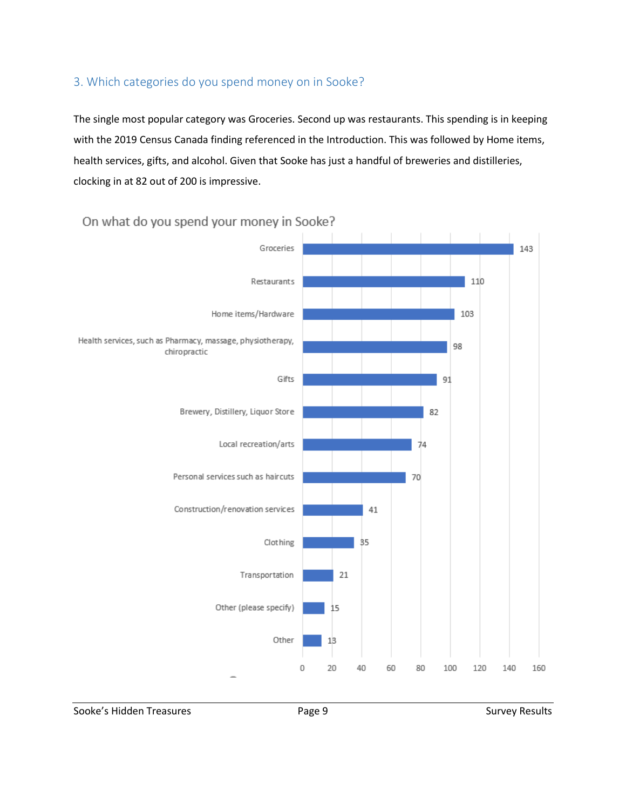#### <span id="page-8-0"></span>3. Which categories do you spend money on in Sooke?

The single most popular category was Groceries. Second up was restaurants. This spending is in keeping with the 2019 Census Canada finding referenced in the Introduction. This was followed by Home items, health services, gifts, and alcohol. Given that Sooke has just a handful of breweries and distilleries, clocking in at 82 out of 200 is impressive.



#### On what do you spend your money in Sooke?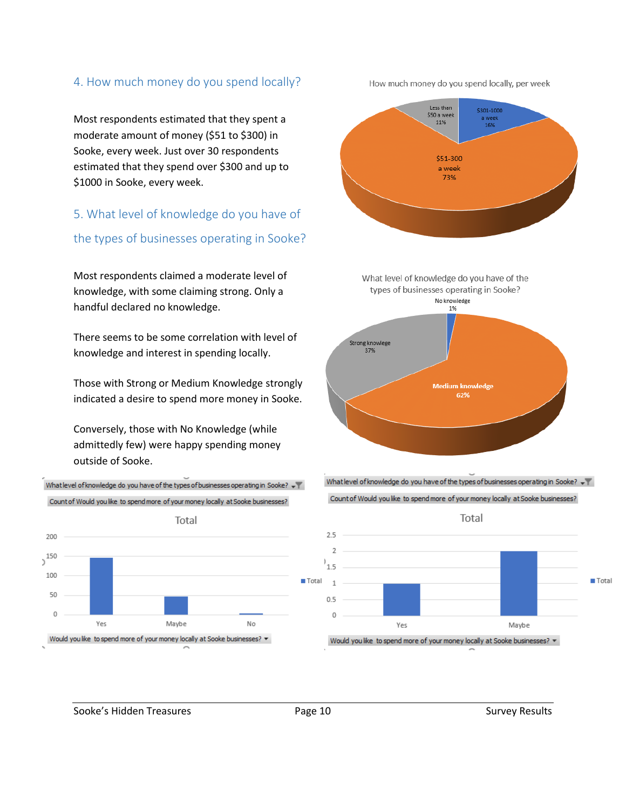#### <span id="page-9-0"></span>4. How much money do you spend locally?

Most respondents estimated that they spent a moderate amount of money (\$51 to \$300) in Sooke, every week. Just over 30 respondents estimated that they spend over \$300 and up to \$1000 in Sooke, every week.

#### <span id="page-9-1"></span>5. What level of knowledge do you have of

the types of businesses operating in Sooke?

Most respondents claimed a moderate level of knowledge, with some claiming strong. Only a handful declared no knowledge.

There seems to be some correlation with level of knowledge and interest in spending locally.

Those with Strong or Medium Knowledge strongly indicated a desire to spend more money in Sooke.

Conversely, those with No Knowledge (while admittedly few) were happy spending money outside of Sooke.





How much money do you spend locally, per week







Sooke's Hidden Treasures The Survey Results Page 10 Survey Results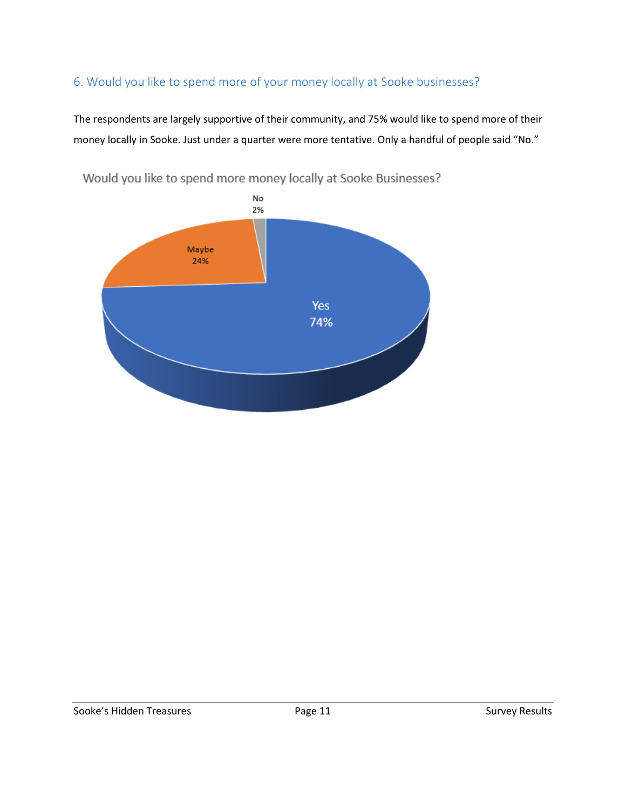#### <span id="page-10-0"></span>6. Would you like to spend more of your money locally at Sooke businesses?

The respondents are largely supportive of their community, and 75% would like to spend more of their money locally in Sooke. Just under a quarter were more tentative. Only a handful of people said "No."



Would you like to spend more money locally at Sooke Businesses?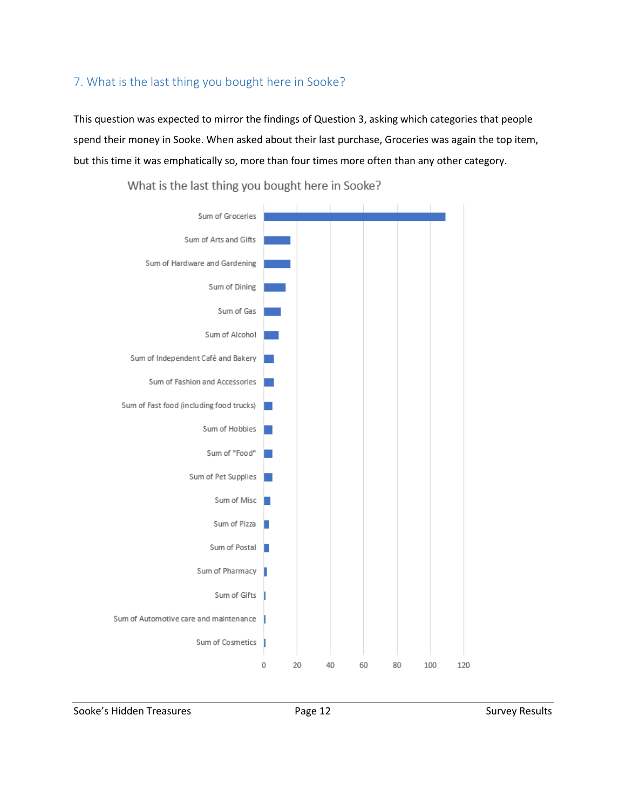#### <span id="page-11-0"></span>7. What is the last thing you bought here in Sooke?

This question was expected to mirror the findings of Question 3, asking which categories that people spend their money in Sooke. When asked about their last purchase, Groceries was again the top item, but this time it was emphatically so, more than four times more often than any other category.



What is the last thing you bought here in Sooke?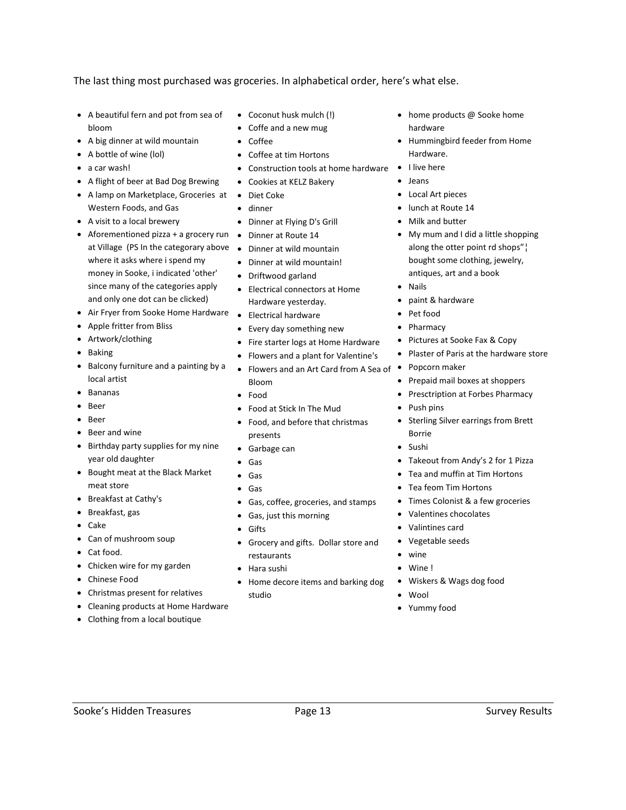The last thing most purchased was groceries. In alphabetical order, here's what else.

- A beautiful fern and pot from sea of bloom
- A big dinner at wild mountain
- A bottle of wine (lol)
- a car wash!
- A flight of beer at Bad Dog Brewing
- A lamp on Marketplace, Groceries at Diet Coke Western Foods, and Gas
- A visit to a local brewery
- Aforementioned pizza + a grocery run Dinner at Route 14 at Village (PS In the categorary above • Dinner at wild mountain where it asks where i spend my money in Sooke, i indicated 'other' since many of the categories apply and only one dot can be clicked)
- Air Fryer from Sooke Home Hardware
- Apple fritter from Bliss
- Artwork/clothing
- Baking
- Balcony furniture and a painting by a local artist
- Bananas
- Beer
- Beer
- Beer and wine
- Birthday party supplies for my nine year old daughter
- Bought meat at the Black Market meat store
- Breakfast at Cathy's
- Breakfast, gas
- Cake
- Can of mushroom soup
- Cat food.
- Chicken wire for my garden
- Chinese Food
- Christmas present for relatives
- Cleaning products at Home Hardware
- Clothing from a local boutique
- Coconut husk mulch (!)
- Coffe and a new mug
- Coffee
- Coffee at tim Hortons
- Construction tools at home hardware
- Cookies at KELZ Bakery
- 
- dinner
- Dinner at Flying D's Grill
- 
- 
- Dinner at wild mountain!
- Driftwood garland
- Electrical connectors at Home Hardware yesterday.
- Electrical hardware
- Every day something new
- Fire starter logs at Home Hardware
- Flowers and a plant for Valentine's
- Flowers and an Art Card from A Sea of Bloom
- Food
- Food at Stick In The Mud
- Food, and before that christmas presents
- Garbage can
- Gas
- Gas
- Gas
- Gas, coffee, groceries, and stamps
- Gas, just this morning
- Gifts
- Grocery and gifts. Dollar store and restaurants
- Hara sushi
- Home decore items and barking dog studio
- 
- home products @ Sooke home hardware
- Hummingbird feeder from Home Hardware.
- I live here
- Jeans
- Local Art pieces
- lunch at Route 14
- Milk and butter
- My mum and I did a little shopping along the otter point rd shops"¦ bought some clothing, jewelry, antiques, art and a book
- Nails
- paint & hardware
- Pet food
- **Pharmacy**
- Pictures at Sooke Fax & Copy
- Plaster of Paris at the hardware store
- Popcorn maker
- Prepaid mail boxes at shoppers
- Presctription at Forbes Pharmacy
- Push pins
- Sterling Silver earrings from Brett Borrie
- Sushi
- Takeout from Andy's 2 for 1 Pizza
- Tea and muffin at Tim Hortons
- Tea feom Tim Hortons
- Times Colonist & a few groceries
- Valentines chocolates
- Valintines card
- Vegetable seeds
- wine
- Wine !
- Wiskers & Wags dog food
- Wool
- Yummy food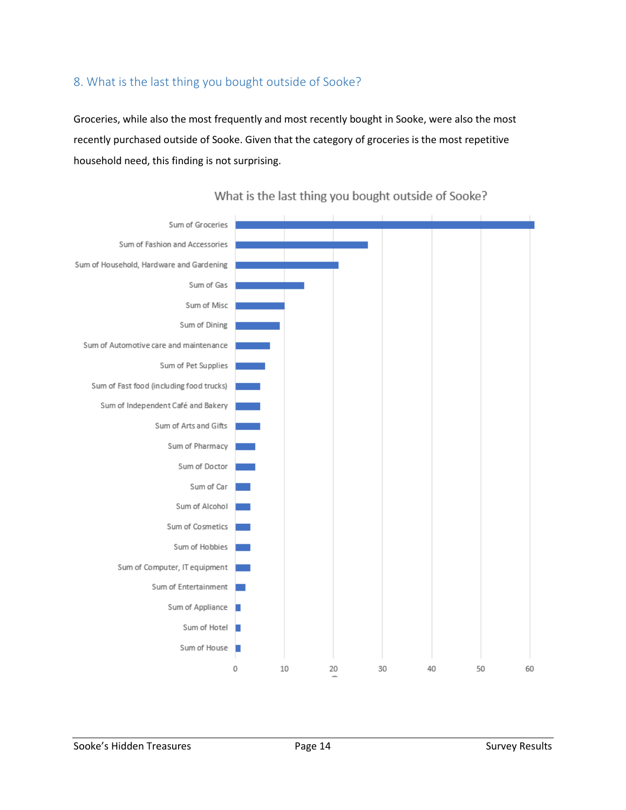#### <span id="page-13-0"></span>8. What is the last thing you bought outside of Sooke?

Groceries, while also the most frequently and most recently bought in Sooke, were also the most recently purchased outside of Sooke. Given that the category of groceries is the most repetitive household need, this finding is not surprising.



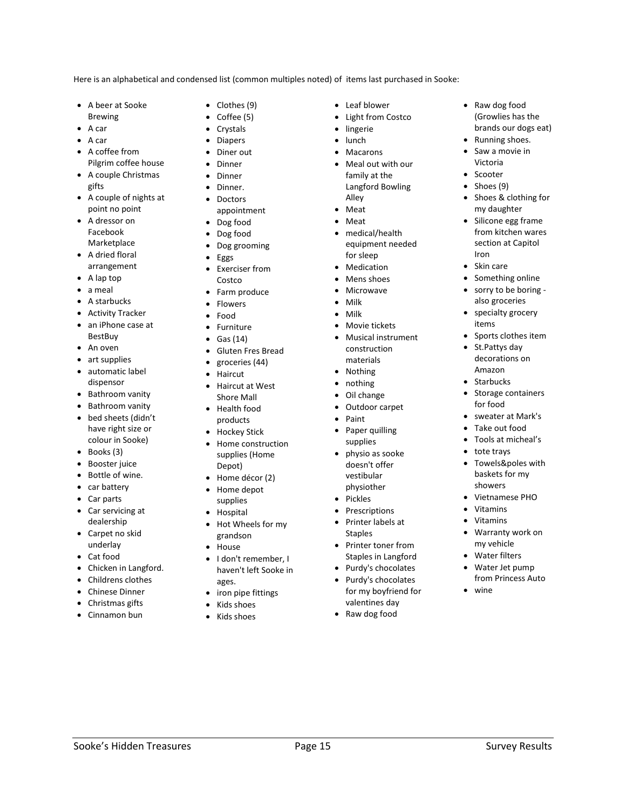Here is an alphabetical and condensed list (common multiples noted) of items last purchased in Sooke:

- A beer at Sooke
- Brewing
- A car • A car
- A coffee from
- Pilgrim coffee house • A couple Christmas
- gifts
- A couple of nights at point no point
- A dressor on Facebook Marketplace
- A dried floral arrangement
- A lap top
- a meal
- A starbucks
- **Activity Tracker**
- an iPhone case at BestBuy
- An oven
- art supplies
- automatic label dispensor
- Bathroom vanity
- Bathroom vanity
- bed sheets (didn't have right size or colour in Sooke)
- Books (3)
- Booster juice
- Bottle of wine.
- car battery
- Car parts
- Car servicing at dealership
- Carpet no skid underlay
- Cat food
- Chicken in Langford.
- Childrens clothes
- Chinese Dinner
- Christmas gifts
- Cinnamon bun
- Clothes (9)
- Coffee (5)
- **Crystals**
- **Diapers**
- Diner out
- **Dinner**
- **Dinner**
- Dinner.
- Doctors appointment
- Dog food
- Dog food
- Dog grooming
- Eggs
- Exerciser from Costco
- Farm produce
- Flowers
- Food
- **Furniture**
- Gas (14)
- Gluten Fres Bread
- groceries (44)
- Haircut
- Haircut at West Shore Mall
- Health food products
- Hockey Stick
- Home construction supplies (Home Depot)
- Home décor (2)
- Home depot supplies
- Hospital
- Hot Wheels for my grandson
- House
- I don't remember, I haven't left Sooke in ages.
- iron pipe fittings
- Kids shoes
- Kids shoes
- Leaf blower
- Light from Costco
- **lingerie**
- lunch
- **Macarons** • Meal out with our family at the Langford Bowling
- Alley • Meat
- Meat
- medical/health equipment needed for sleep
- **Medication**
- Mens shoes
- **Microwave**
- Milk
- Milk
- Movie tickets
- Musical instrument
- construction materials
- Nothing
- nothing
- Oil change
- Outdoor carpet
- Paint
- Paper quilling supplies
- physio as sooke doesn't offer vestibular physiother
- Pickles
- **Prescriptions**
- Printer labels at Staples
- Printer toner from Staples in Langford
- Purdy's chocolates
- Purdy's chocolates for my boyfriend for valentines day
- Raw dog food

Sooke's Hidden Treasures The Controller Page 15 Survey Results Assessment Results

• Raw dog food (Growlies has the brands our dogs eat)

• Running shoes. Saw a movie in Victoria • Scooter Shoes (9) • Shoes & clothing for my daughter Silicone egg frame from kitchen wares section at Capitol

Iron • Skin care

Something online • sorry to be boring also groceries • specialty grocery items

• Sports clothes item • St.Pattys day decorations on Amazon • Starbucks

• Storage containers for food

sweater at Mark's • Take out food • Tools at micheal's tote trays • Towels&poles with baskets for my showers • Vietnamese PHO

• Vitamins • Vitamins • Warranty work on my vehicle Water filters • Water Jet pump from Princess Auto

• wine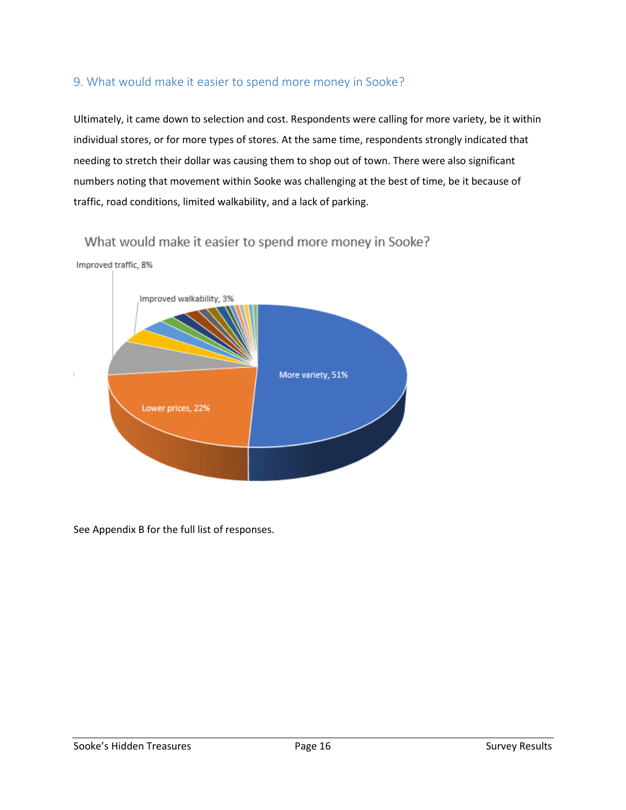#### <span id="page-15-0"></span>9. What would make it easier to spend more money in Sooke?

Ultimately, it came down to selection and cost. Respondents were calling for more variety, be it within individual stores, or for more types of stores. At the same time, respondents strongly indicated that needing to stretch their dollar was causing them to shop out of town. There were also significant numbers noting that movement within Sooke was challenging at the best of time, be it because of traffic, road conditions, limited walkability, and a lack of parking.



What would make it easier to spend more money in Sooke?

See Appendix B for the full list of responses.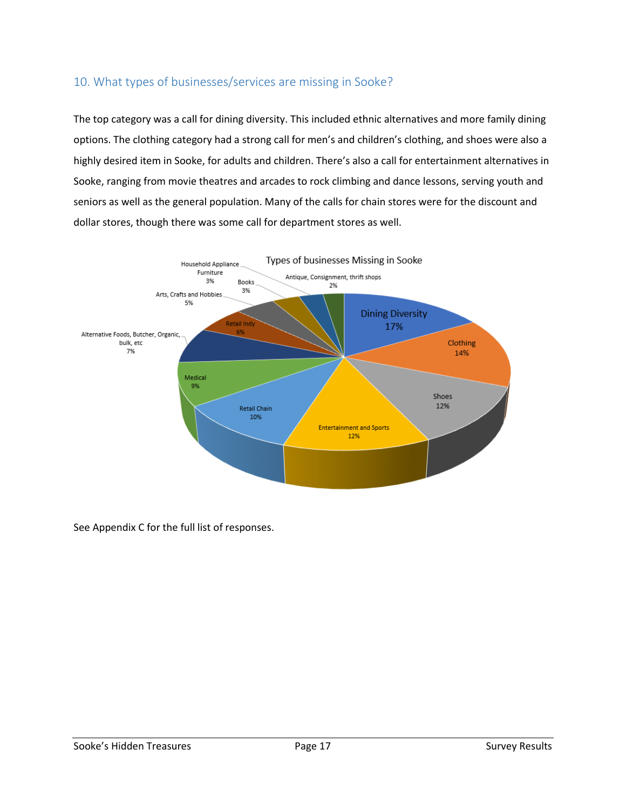#### <span id="page-16-0"></span>10. What types of businesses/services are missing in Sooke?

The top category was a call for dining diversity. This included ethnic alternatives and more family dining options. The clothing category had a strong call for men's and children's clothing, and shoes were also a highly desired item in Sooke, for adults and children. There's also a call for entertainment alternatives in Sooke, ranging from movie theatres and arcades to rock climbing and dance lessons, serving youth and seniors as well as the general population. Many of the calls for chain stores were for the discount and dollar stores, though there was some call for department stores as well.



See Appendix C for the full list of responses.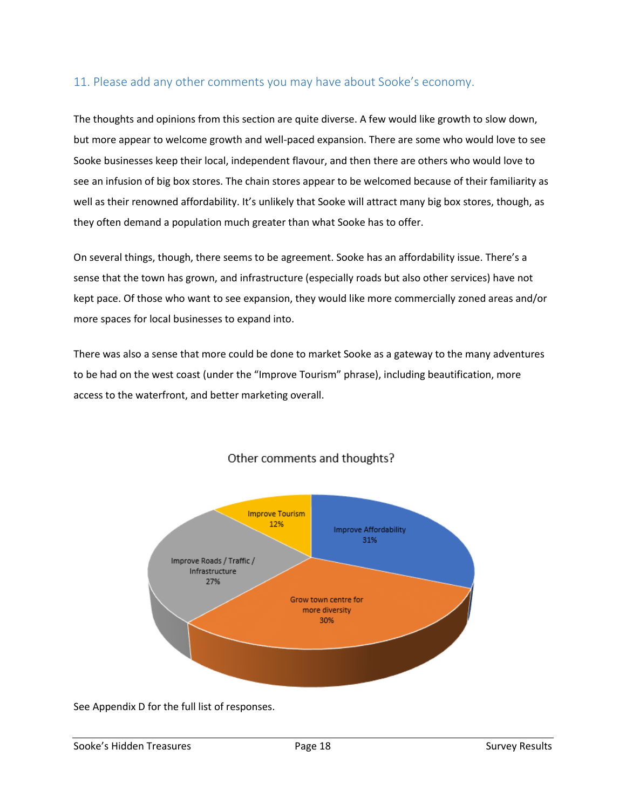#### <span id="page-17-0"></span>11. Please add any other comments you may have about Sooke's economy.

The thoughts and opinions from this section are quite diverse. A few would like growth to slow down, but more appear to welcome growth and well-paced expansion. There are some who would love to see Sooke businesses keep their local, independent flavour, and then there are others who would love to see an infusion of big box stores. The chain stores appear to be welcomed because of their familiarity as well as their renowned affordability. It's unlikely that Sooke will attract many big box stores, though, as they often demand a population much greater than what Sooke has to offer.

On several things, though, there seems to be agreement. Sooke has an affordability issue. There's a sense that the town has grown, and infrastructure (especially roads but also other services) have not kept pace. Of those who want to see expansion, they would like more commercially zoned areas and/or more spaces for local businesses to expand into.

There was also a sense that more could be done to market Sooke as a gateway to the many adventures to be had on the west coast (under the "Improve Tourism" phrase), including beautification, more access to the waterfront, and better marketing overall.



#### Other comments and thoughts?

See Appendix D for the full list of responses.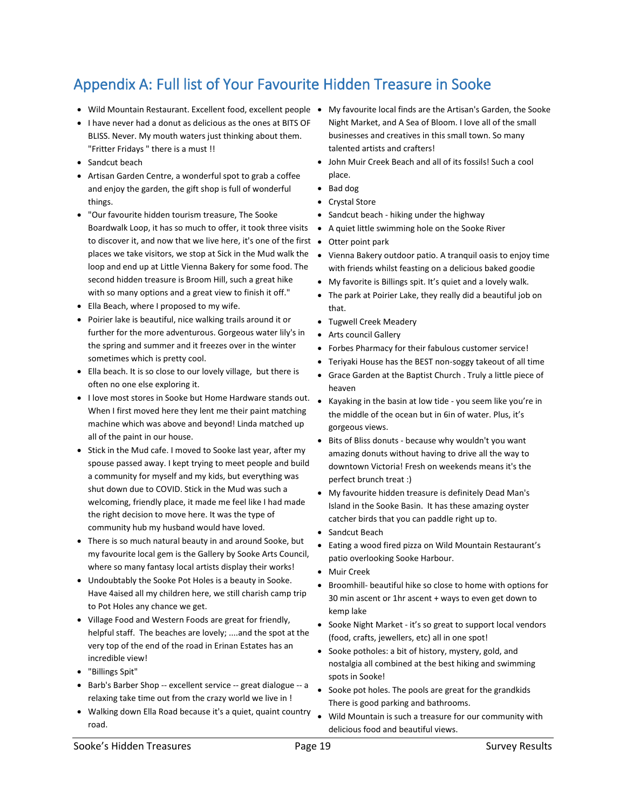# <span id="page-18-0"></span>Appendix A: Full list of Your Favourite Hidden Treasure in Sooke

- Wild Mountain Restaurant. Excellent food, excellent people My favourite local finds are the Artisan's Garden, the Sooke
- I have never had a donut as delicious as the ones at BITS OF BLISS. Never. My mouth waters just thinking about them. "Fritter Fridays " there is a must !!
- Sandcut beach
- Artisan Garden Centre, a wonderful spot to grab a coffee and enjoy the garden, the gift shop is full of wonderful things.
- "Our favourite hidden tourism treasure, The Sooke Boardwalk Loop, it has so much to offer, it took three visits to discover it, and now that we live here, it's one of the first • Otter point park places we take visitors, we stop at Sick in the Mud walk the loop and end up at Little Vienna Bakery for some food. The second hidden treasure is Broom Hill, such a great hike with so many options and a great view to finish it off."
- Ella Beach, where I proposed to my wife.
- Poirier lake is beautiful, nice walking trails around it or further for the more adventurous. Gorgeous water lily's in the spring and summer and it freezes over in the winter sometimes which is pretty cool.
- Ella beach. It is so close to our lovely village, but there is often no one else exploring it.
- I love most stores in Sooke but Home Hardware stands out. When I first moved here they lent me their paint matching machine which was above and beyond! Linda matched up all of the paint in our house.
- Stick in the Mud cafe. I moved to Sooke last year, after my spouse passed away. I kept trying to meet people and build a community for myself and my kids, but everything was shut down due to COVID. Stick in the Mud was such a welcoming, friendly place, it made me feel like I had made the right decision to move here. It was the type of community hub my husband would have loved.
- There is so much natural beauty in and around Sooke, but my favourite local gem is the Gallery by Sooke Arts Council, where so many fantasy local artists display their works!
- Undoubtably the Sooke Pot Holes is a beauty in Sooke. Have 4aised all my children here, we still charish camp trip to Pot Holes any chance we get.
- Village Food and Western Foods are great for friendly, helpful staff. The beaches are lovely; ....and the spot at the very top of the end of the road in Erinan Estates has an incredible view!
- "Billings Spit"
- Barb's Barber Shop -- excellent service -- great dialogue -- a relaxing take time out from the crazy world we live in !
- Walking down Ella Road because it's a quiet, quaint country road.
- Night Market, and A Sea of Bloom. I love all of the small businesses and creatives in this small town. So many talented artists and crafters!
- John Muir Creek Beach and all of its fossils! Such a cool place.
- Bad dog
- Crystal Store
- Sandcut beach hiking under the highway
- A quiet little swimming hole on the Sooke River
- 
- Vienna Bakery outdoor patio. A tranquil oasis to enjoy time with friends whilst feasting on a delicious baked goodie
- My favorite is Billings spit. It's quiet and a lovely walk.
- The park at Poirier Lake, they really did a beautiful job on that.
- Tugwell Creek Meadery
- Arts council Gallery
- Forbes Pharmacy for their fabulous customer service!
- Teriyaki House has the BEST non-soggy takeout of all time
- Grace Garden at the Baptist Church . Truly a little piece of heaven
- Kayaking in the basin at low tide you seem like you're in the middle of the ocean but in 6in of water. Plus, it's gorgeous views.
- Bits of Bliss donuts because why wouldn't you want amazing donuts without having to drive all the way to downtown Victoria! Fresh on weekends means it's the perfect brunch treat :)
- My favourite hidden treasure is definitely Dead Man's Island in the Sooke Basin. It has these amazing oyster catcher birds that you can paddle right up to.
- Sandcut Beach
- Eating a wood fired pizza on Wild Mountain Restaurant's patio overlooking Sooke Harbour.
- Muir Creek
- Broomhill- beautiful hike so close to home with options for 30 min ascent or 1hr ascent + ways to even get down to kemp lake
- Sooke Night Market it's so great to support local vendors (food, crafts, jewellers, etc) all in one spot!
- Sooke potholes: a bit of history, mystery, gold, and nostalgia all combined at the best hiking and swimming spots in Sooke!
- Sooke pot holes. The pools are great for the grandkids There is good parking and bathrooms.
- Wild Mountain is such a treasure for our community with delicious food and beautiful views.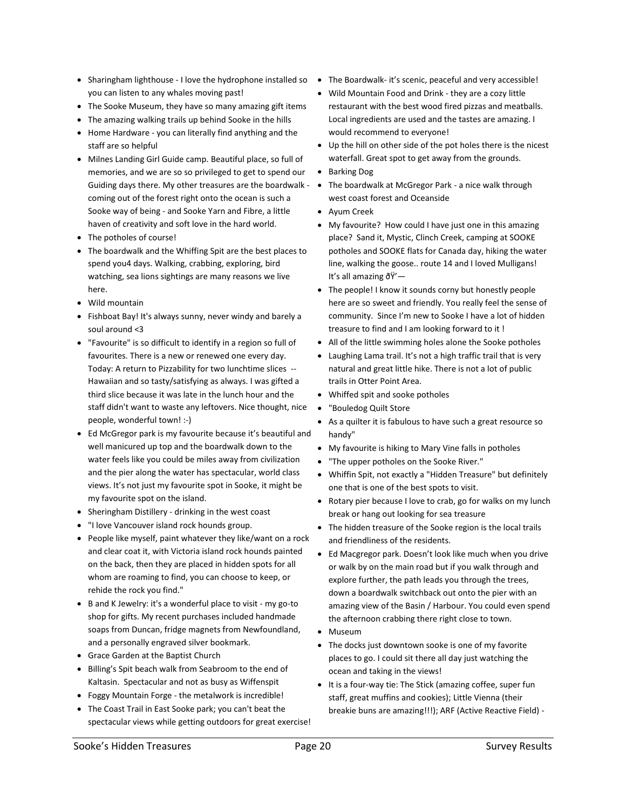- Sharingham lighthouse I love the hydrophone installed so The Boardwalk- it's scenic, peaceful and very accessible! you can listen to any whales moving past!
- The Sooke Museum, they have so many amazing gift items
- The amazing walking trails up behind Sooke in the hills
- Home Hardware you can literally find anything and the staff are so helpful
- Milnes Landing Girl Guide camp. Beautiful place, so full of memories, and we are so so privileged to get to spend our Guiding days there. My other treasures are the boardwalk coming out of the forest right onto the ocean is such a Sooke way of being - and Sooke Yarn and Fibre, a little haven of creativity and soft love in the hard world.
- The potholes of course!
- The boardwalk and the Whiffing Spit are the best places to spend you4 days. Walking, crabbing, exploring, bird watching, sea lions sightings are many reasons we live here.
- Wild mountain
- Fishboat Bay! It's always sunny, never windy and barely a soul around <3
- "Favourite" is so difficult to identify in a region so full of favourites. There is a new or renewed one every day. Today: A return to Pizzability for two lunchtime slices -- Hawaiian and so tasty/satisfying as always. I was gifted a third slice because it was late in the lunch hour and the staff didn't want to waste any leftovers. Nice thought, nice people, wonderful town! :-)
- Ed McGregor park is my favourite because it's beautiful and well manicured up top and the boardwalk down to the water feels like you could be miles away from civilization and the pier along the water has spectacular, world class views. It's not just my favourite spot in Sooke, it might be my favourite spot on the island.
- Sheringham Distillery drinking in the west coast
- "I love Vancouver island rock hounds group.
- People like myself, paint whatever they like/want on a rock and clear coat it, with Victoria island rock hounds painted on the back, then they are placed in hidden spots for all whom are roaming to find, you can choose to keep, or rehide the rock you find."
- B and K Jewelry: it's a wonderful place to visit my go-to shop for gifts. My recent purchases included handmade soaps from Duncan, fridge magnets from Newfoundland, and a personally engraved silver bookmark.
- Grace Garden at the Baptist Church
- Billing's Spit beach walk from Seabroom to the end of Kaltasin. Spectacular and not as busy as Wiffenspit
- Foggy Mountain Forge the metalwork is incredible!
- The Coast Trail in East Sooke park; you can't beat the spectacular views while getting outdoors for great exercise!
- 
- Wild Mountain Food and Drink they are a cozy little restaurant with the best wood fired pizzas and meatballs. Local ingredients are used and the tastes are amazing. I would recommend to everyone!
- Up the hill on other side of the pot holes there is the nicest waterfall. Great spot to get away from the grounds.
- Barking Dog
- The boardwalk at McGregor Park a nice walk through west coast forest and Oceanside
- Ayum Creek
- My favourite? How could I have just one in this amazing place? Sand it, Mystic, Clinch Creek, camping at SOOKE potholes and SOOKE flats for Canada day, hiking the water line, walking the goose.. route 14 and I loved Mulligans! It's all amazing  $\delta \ddot{Y}$  –
- The people! I know it sounds corny but honestly people here are so sweet and friendly. You really feel the sense of community. Since I'm new to Sooke I have a lot of hidden treasure to find and I am looking forward to it !
- All of the little swimming holes alone the Sooke potholes
- Laughing Lama trail. It's not a high traffic trail that is very natural and great little hike. There is not a lot of public trails in Otter Point Area.
- Whiffed spit and sooke potholes
- "Bouledog Quilt Store
- As a quilter it is fabulous to have such a great resource so handy"
- My favourite is hiking to Mary Vine falls in potholes
- "The upper potholes on the Sooke River."
- Whiffin Spit, not exactly a "Hidden Treasure" but definitely one that is one of the best spots to visit.
- Rotary pier because I love to crab, go for walks on my lunch break or hang out looking for sea treasure
- The hidden treasure of the Sooke region is the local trails and friendliness of the residents.
- Ed Macgregor park. Doesn't look like much when you drive or walk by on the main road but if you walk through and explore further, the path leads you through the trees, down a boardwalk switchback out onto the pier with an amazing view of the Basin / Harbour. You could even spend the afternoon crabbing there right close to town.
- Museum
- The docks just downtown sooke is one of my favorite places to go. I could sit there all day just watching the ocean and taking in the views!
- It is a four-way tie: The Stick (amazing coffee, super fun staff, great muffins and cookies); Little Vienna (their breakie buns are amazing!!!); ARF (Active Reactive Field) -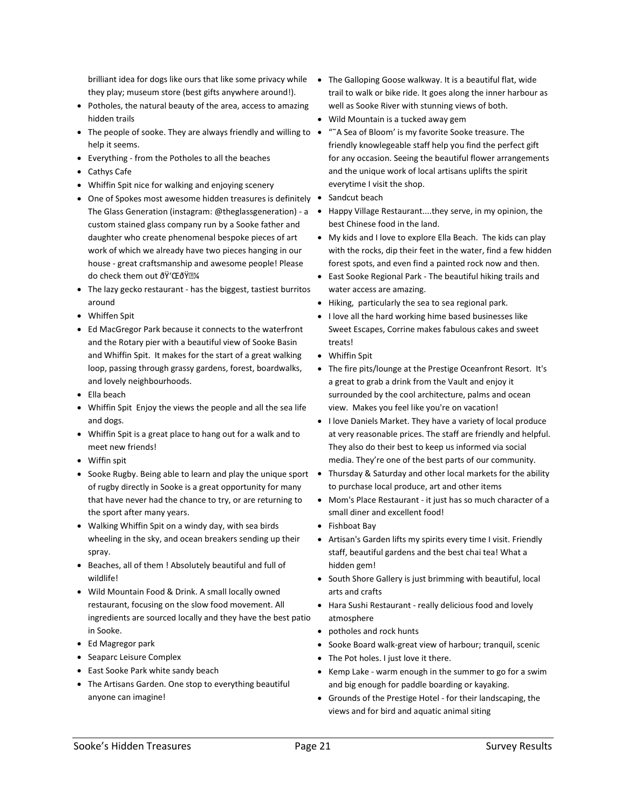they play; museum store (best gifts anywhere around!).

- Potholes, the natural beauty of the area, access to amazing hidden trails
- The people of sooke. They are always friendly and willing to "˜A Sea of Bloom' is my favorite Sooke treasure. The help it seems.
- Everything from the Potholes to all the beaches
- Cathys Cafe
- Whiffin Spit nice for walking and enjoying scenery
- One of Spokes most awesome hidden treasures is definitely Sandcut beach custom stained glass company run by a Sooke father and daughter who create phenomenal bespoke pieces of art work of which we already have two pieces hanging in our house - great craftsmanship and awesome people! Please do check them out ðŸ'ŒðŸ•¼
- The lazy gecko restaurant has the biggest, tastiest burritos around
- Whiffen Spit
- Ed MacGregor Park because it connects to the waterfront and the Rotary pier with a beautiful view of Sooke Basin and Whiffin Spit. It makes for the start of a great walking loop, passing through grassy gardens, forest, boardwalks, and lovely neighbourhoods.
- Ella beach
- Whiffin Spit Enjoy the views the people and all the sea life and dogs.
- Whiffin Spit is a great place to hang out for a walk and to meet new friends!
- Wiffin spit
- Sooke Rugby. Being able to learn and play the unique sport of rugby directly in Sooke is a great opportunity for many that have never had the chance to try, or are returning to the sport after many years.
- Walking Whiffin Spit on a windy day, with sea birds wheeling in the sky, and ocean breakers sending up their spray.
- Beaches, all of them ! Absolutely beautiful and full of wildlife!
- Wild Mountain Food & Drink. A small locally owned restaurant, focusing on the slow food movement. All ingredients are sourced locally and they have the best patio in Sooke.
- Ed Magregor park
- Seaparc Leisure Complex
- East Sooke Park white sandy beach
- The Artisans Garden. One stop to everything beautiful anyone can imagine!
- brilliant idea for dogs like ours that like some privacy while The Galloping Goose walkway. It is a beautiful flat, wide trail to walk or bike ride. It goes along the inner harbour as well as Sooke River with stunning views of both.
	- Wild Mountain is a tucked away gem
	- friendly knowlegeable staff help you find the perfect gift for any occasion. Seeing the beautiful flower arrangements and the unique work of local artisans uplifts the spirit everytime I visit the shop.
	-
- The Glass Generation (instagram: @theglassgeneration) a Happy Village Restaurant....they serve, in my opinion, the best Chinese food in the land.
	- My kids and I love to explore Ella Beach. The kids can play with the rocks, dip their feet in the water, find a few hidden forest spots, and even find a painted rock now and then.
	- East Sooke Regional Park The beautiful hiking trails and water access are amazing.
	- Hiking, particularly the sea to sea regional park.
	- I love all the hard working hime based businesses like Sweet Escapes, Corrine makes fabulous cakes and sweet treats!
	- Whiffin Spit
	- The fire pits/lounge at the Prestige Oceanfront Resort. It's a great to grab a drink from the Vault and enjoy it surrounded by the cool architecture, palms and ocean view. Makes you feel like you're on vacation!
	- I love Daniels Market. They have a variety of local produce at very reasonable prices. The staff are friendly and helpful. They also do their best to keep us informed via social media. They're one of the best parts of our community.
	- Thursday & Saturday and other local markets for the ability to purchase local produce, art and other items
	- Mom's Place Restaurant it just has so much character of a small diner and excellent food!
	- Fishboat Bay
	- Artisan's Garden lifts my spirits every time I visit. Friendly staff, beautiful gardens and the best chai tea! What a hidden gem!
	- South Shore Gallery is just brimming with beautiful, local arts and crafts
	- Hara Sushi Restaurant really delicious food and lovely atmosphere
	- potholes and rock hunts
	- Sooke Board walk-great view of harbour; tranquil, scenic
	- The Pot holes. I just love it there.
	- Kemp Lake warm enough in the summer to go for a swim and big enough for paddle boarding or kayaking.
	- Grounds of the Prestige Hotel for their landscaping, the views and for bird and aquatic animal siting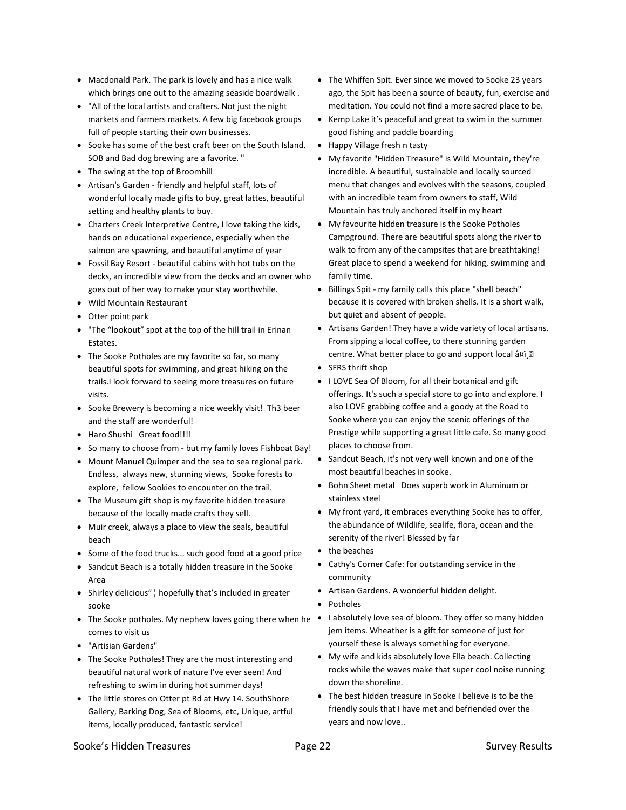- Macdonald Park. The park is lovely and has a nice walk which brings one out to the amazing seaside boardwalk .
- "All of the local artists and crafters. Not just the night markets and farmers markets. A few big facebook groups full of people starting their own businesses.
- Sooke has some of the best craft beer on the South Island. SOB and Bad dog brewing are a favorite. "
- The swing at the top of Broomhill
- Artisan's Garden friendly and helpful staff, lots of wonderful locally made gifts to buy, great lattes, beautiful setting and healthy plants to buy.
- Charters Creek Interpretive Centre, I love taking the kids, hands on educational experience, especially when the salmon are spawning, and beautiful anytime of year
- Fossil Bay Resort beautiful cabins with hot tubs on the decks, an incredible view from the decks and an owner who goes out of her way to make your stay worthwhile.
- Wild Mountain Restaurant
- Otter point park
- "The "lookout" spot at the top of the hill trail in Erinan Estates.
- The Sooke Potholes are my favorite so far, so many beautiful spots for swimming, and great hiking on the trails.I look forward to seeing more treasures on future visits.
- Sooke Brewery is becoming a nice weekly visit! Th3 beer and the staff are wonderful!
- Haro Shushi Great food!!!!
- So many to choose from but my family loves Fishboat Bay!
- Mount Manuel Quimper and the sea to sea regional park. Endless, always new, stunning views, Sooke forests to explore, fellow Sookies to encounter on the trail.
- The Museum gift shop is my favorite hidden treasure because of the locally made crafts they sell.
- Muir creek, always a place to view the seals, beautiful beach
- Some of the food trucks... such good food at a good price
- Sandcut Beach is a totally hidden treasure in the Sooke Area
- Shirley delicious"¦ hopefully that's included in greater sooke
- comes to visit us
- "Artisian Gardens"
- The Sooke Potholes! They are the most interesting and beautiful natural work of nature I've ever seen! And refreshing to swim in during hot summer days!
- The little stores on Otter pt Rd at Hwy 14. SouthShore Gallery, Barking Dog, Sea of Blooms, etc, Unique, artful items, locally produced, fantastic service!
- The Whiffen Spit. Ever since we moved to Sooke 23 years ago, the Spit has been a source of beauty, fun, exercise and meditation. You could not find a more sacred place to be.
- Kemp Lake it's peaceful and great to swim in the summer good fishing and paddle boarding
- Happy Village fresh n tasty
- My favorite "Hidden Treasure" is Wild Mountain, they're incredible. A beautiful, sustainable and locally sourced menu that changes and evolves with the seasons, coupled with an incredible team from owners to staff, Wild Mountain has truly anchored itself in my heart
- My favourite hidden treasure is the Sooke Potholes Campground. There are beautiful spots along the river to walk to from any of the campsites that are breathtaking! Great place to spend a weekend for hiking, swimming and family time.
- Billings Spit my family calls this place "shell beach" because it is covered with broken shells. It is a short walk, but quiet and absent of people.
- Artisans Garden! They have a wide variety of local artisans. From sipping a local coffee, to there stunning garden centre. What better place to go and support local â¤ï¸•
- SFRS thrift shop
- I LOVE Sea Of Bloom, for all their botanical and gift offerings. It's such a special store to go into and explore. I also LOVE grabbing coffee and a goody at the Road to Sooke where you can enjoy the scenic offerings of the Prestige while supporting a great little cafe. So many good places to choose from.
- Sandcut Beach, it's not very well known and one of the most beautiful beaches in sooke.
- Bohn Sheet metal Does superb work in Aluminum or stainless steel
- My front yard, it embraces everything Sooke has to offer, the abundance of Wildlife, sealife, flora, ocean and the serenity of the river! Blessed by far
- the beaches
- Cathy's Corner Cafe: for outstanding service in the community
- Artisan Gardens. A wonderful hidden delight.
- Potholes
- The Sooke potholes. My nephew loves going there when he labsolutely love sea of bloom. They offer so many hidden jem items. Wheather is a gift for someone of just for yourself these is always something for everyone.
	- My wife and kids absolutely love Ella beach. Collecting rocks while the waves make that super cool noise running down the shoreline.
	- The best hidden treasure in Sooke I believe is to be the friendly souls that I have met and befriended over the years and now love..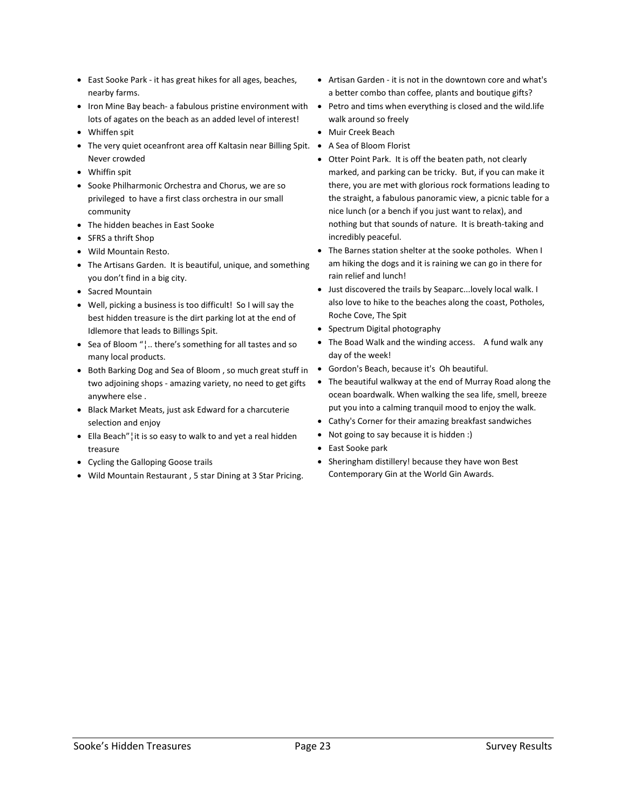- East Sooke Park it has great hikes for all ages, beaches, nearby farms.
- Iron Mine Bay beach- a fabulous pristine environment with lots of agates on the beach as an added level of interest!
- Whiffen spit
- The very quiet oceanfront area off Kaltasin near Billing Spit. A Sea of Bloom Florist Never crowded
- Whiffin spit
- Sooke Philharmonic Orchestra and Chorus, we are so privileged to have a first class orchestra in our small community
- The hidden beaches in East Sooke
- SFRS a thrift Shop
- Wild Mountain Resto.
- The Artisans Garden. It is beautiful, unique, and something you don't find in a big city.
- Sacred Mountain
- Well, picking a business is too difficult! So I will say the best hidden treasure is the dirt parking lot at the end of Idlemore that leads to Billings Spit.
- Sea of Bloom "¦.. there's something for all tastes and so many local products.
- Both Barking Dog and Sea of Bloom , so much great stuff in two adjoining shops - amazing variety, no need to get gifts anywhere else .
- Black Market Meats, just ask Edward for a charcuterie selection and enjoy
- Ella Beach"¦it is so easy to walk to and yet a real hidden treasure
- Cycling the Galloping Goose trails
- Wild Mountain Restaurant , 5 star Dining at 3 Star Pricing.
- Artisan Garden it is not in the downtown core and what's a better combo than coffee, plants and boutique gifts?
- Petro and tims when everything is closed and the wild.life walk around so freely
- Muir Creek Beach
- 
- Otter Point Park. It is off the beaten path, not clearly marked, and parking can be tricky. But, if you can make it there, you are met with glorious rock formations leading to the straight, a fabulous panoramic view, a picnic table for a nice lunch (or a bench if you just want to relax), and nothing but that sounds of nature. It is breath-taking and incredibly peaceful.
- The Barnes station shelter at the sooke potholes. When I am hiking the dogs and it is raining we can go in there for rain relief and lunch!
- Just discovered the trails by Seaparc...lovely local walk. I also love to hike to the beaches along the coast, Potholes, Roche Cove, The Spit
- Spectrum Digital photography
- The Boad Walk and the winding access. A fund walk any day of the week!
- Gordon's Beach, because it's Oh beautiful.
- The beautiful walkway at the end of Murray Road along the ocean boardwalk. When walking the sea life, smell, breeze put you into a calming tranquil mood to enjoy the walk.
- Cathy's Corner for their amazing breakfast sandwiches
- Not going to say because it is hidden :)
- East Sooke park
- Sheringham distillery! because they have won Best Contemporary Gin at the World Gin Awards.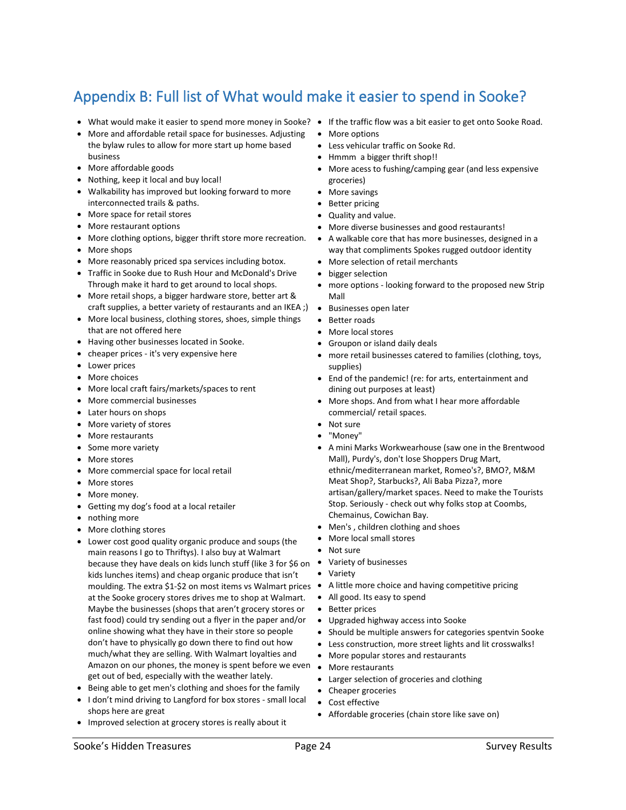# <span id="page-23-0"></span>Appendix B: Full list of What would make it easier to spend in Sooke?

- What would make it easier to spend more money in Sooke? If the traffic flow was a bit easier to get onto Sooke Road.
- More and affordable retail space for businesses. Adjusting the bylaw rules to allow for more start up home based business
- More affordable goods
- Nothing, keep it local and buy local!
- Walkability has improved but looking forward to more interconnected trails & paths.
- More space for retail stores
- More restaurant options
- More clothing options, bigger thrift store more recreation.
- More shops
- More reasonably priced spa services including botox.
- Traffic in Sooke due to Rush Hour and McDonald's Drive Through make it hard to get around to local shops.
- More retail shops, a bigger hardware store, better art & craft supplies, a better variety of restaurants and an IKEA ;)
- More local business, clothing stores, shoes, simple things that are not offered here
- Having other businesses located in Sooke.
- cheaper prices it's very expensive here
- Lower prices
- More choices
- More local craft fairs/markets/spaces to rent
- More commercial businesses
- Later hours on shops
- More variety of stores
- More restaurants
- Some more variety
- More stores
- More commercial space for local retail
- More stores
- More money.
- Getting my dog's food at a local retailer
- nothing more
- More clothing stores
- Lower cost good quality organic produce and soups (the main reasons I go to Thriftys). I also buy at Walmart because they have deals on kids lunch stuff (like 3 for \$6 on kids lunches items) and cheap organic produce that isn't moulding. The extra \$1-\$2 on most items vs Walmart prices at the Sooke grocery stores drives me to shop at Walmart. Maybe the businesses (shops that aren't grocery stores or fast food) could try sending out a flyer in the paper and/or online showing what they have in their store so people don't have to physically go down there to find out how much/what they are selling. With Walmart loyalties and Amazon on our phones, the money is spent before we even get out of bed, especially with the weather lately.
- Being able to get men's clothing and shoes for the family
- I don't mind driving to Langford for box stores small local shops here are great
- Improved selection at grocery stores is really about it
- 
- More options
- Less vehicular traffic on Sooke Rd.
- Hmmm a bigger thrift shop!!
- More acess to fushing/camping gear (and less expensive groceries)
- More savings
- Better pricing
- Quality and value.
- More diverse businesses and good restaurants!
- A walkable core that has more businesses, designed in a way that compliments Spokes rugged outdoor identity
- More selection of retail merchants
- bigger selection
- more options looking forward to the proposed new Strip Mall
- Businesses open later
- Better roads
- More local stores
- Groupon or island daily deals
- more retail businesses catered to families (clothing, toys, supplies)
- End of the pandemic! (re: for arts, entertainment and dining out purposes at least)
- More shops. And from what I hear more affordable commercial/ retail spaces.
- Not sure
- "Money"
- A mini Marks Workwearhouse (saw one in the Brentwood Mall), Purdy's, don't lose Shoppers Drug Mart, ethnic/mediterranean market, Romeo's?, BMO?, M&M Meat Shop?, Starbucks?, Ali Baba Pizza?, more artisan/gallery/market spaces. Need to make the Tourists Stop. Seriously - check out why folks stop at Coombs, Chemainus, Cowichan Bay.
- Men's , children clothing and shoes
- More local small stores
- Not sure
- Variety of businesses
- Variety
- A little more choice and having competitive pricing
- All good. Its easy to spend
- Better prices
- Upgraded highway access into Sooke
- Should be multiple answers for categories spentvin Sooke
- Less construction, more street lights and lit crosswalks!
- More popular stores and restaurants
- More restaurants
- Larger selection of groceries and clothing
- Cheaper groceries
- Cost effective
- Affordable groceries (chain store like save on)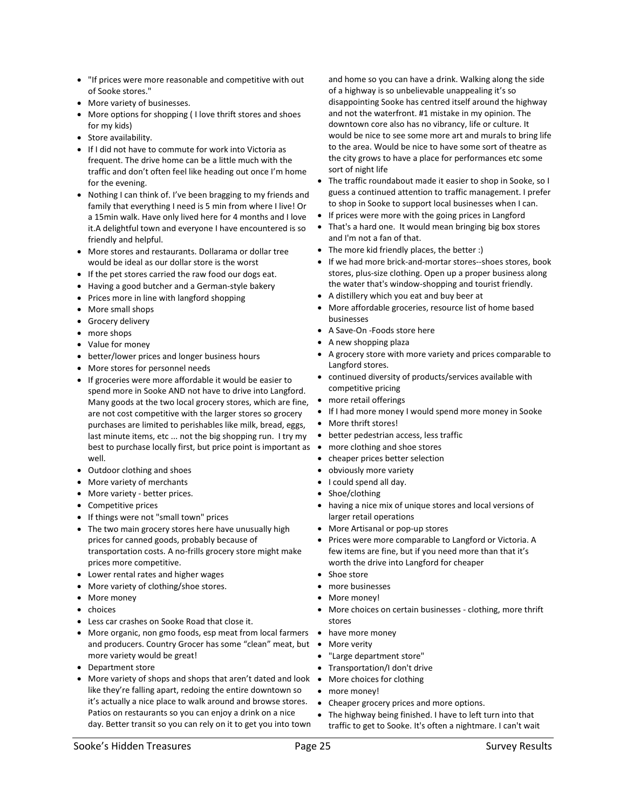- "If prices were more reasonable and competitive with out of Sooke stores."
- More variety of businesses.
- More options for shopping ( I love thrift stores and shoes for my kids)
- Store availability.
- If I did not have to commute for work into Victoria as frequent. The drive home can be a little much with the traffic and don't often feel like heading out once I'm home for the evening.
- Nothing I can think of. I've been bragging to my friends and family that everything I need is 5 min from where I live! Or a 15min walk. Have only lived here for 4 months and I love it.A delightful town and everyone I have encountered is so friendly and helpful.
- More stores and restaurants. Dollarama or dollar tree would be ideal as our dollar store is the worst
- If the pet stores carried the raw food our dogs eat.
- Having a good butcher and a German-style bakery
- Prices more in line with langford shopping
- More small shops
- Grocery delivery
- more shops
- Value for money
- better/lower prices and longer business hours
- More stores for personnel needs
- If groceries were more affordable it would be easier to spend more in Sooke AND not have to drive into Langford. Many goods at the two local grocery stores, which are fine, are not cost competitive with the larger stores so grocery purchases are limited to perishables like milk, bread, eggs, last minute items, etc ... not the big shopping run. I try my best to purchase locally first, but price point is important as  $\bullet$ well.
- Outdoor clothing and shoes
- More variety of merchants
- More variety better prices.
- Competitive prices
- If things were not "small town" prices
- The two main grocery stores here have unusually high prices for canned goods, probably because of transportation costs. A no-frills grocery store might make prices more competitive.
- Lower rental rates and higher wages
- More variety of clothing/shoe stores.
- More money
- choices
- Less car crashes on Sooke Road that close it.
- More organic, non gmo foods, esp meat from local farmers have more money and producers. Country Grocer has some "clean" meat, but . More verity more variety would be great!
- Department store
- More variety of shops and shops that aren't dated and look More choices for clothing like they're falling apart, redoing the entire downtown so it's actually a nice place to walk around and browse stores. Patios on restaurants so you can enjoy a drink on a nice day. Better transit so you can rely on it to get you into town

and home so you can have a drink. Walking along the side of a highway is so unbelievable unappealing it's so disappointing Sooke has centred itself around the highway and not the waterfront. #1 mistake in my opinion. The downtown core also has no vibrancy, life or culture. It would be nice to see some more art and murals to bring life to the area. Would be nice to have some sort of theatre as the city grows to have a place for performances etc some sort of night life

- The traffic roundabout made it easier to shop in Sooke, so I guess a continued attention to traffic management. I prefer to shop in Sooke to support local businesses when I can.
- If prices were more with the going prices in Langford
- That's a hard one. It would mean bringing big box stores and I'm not a fan of that.
- The more kid friendly places, the better :)
- If we had more brick-and-mortar stores--shoes stores, book stores, plus-size clothing. Open up a proper business along the water that's window-shopping and tourist friendly.
- A distillery which you eat and buy beer at
- More affordable groceries, resource list of home based businesses
- A Save-On -Foods store here
- A new shopping plaza
- A grocery store with more variety and prices comparable to Langford stores.
- continued diversity of products/services available with competitive pricing
- more retail offerings
- If I had more money I would spend more money in Sooke
- More thrift stores!
- better pedestrian access, less traffic
- more clothing and shoe stores
- cheaper prices better selection
- obviously more variety
- I could spend all day.
- Shoe/clothing
- having a nice mix of unique stores and local versions of larger retail operations
- More Artisanal or pop-up stores
- Prices were more comparable to Langford or Victoria. A few items are fine, but if you need more than that it's worth the drive into Langford for cheaper
- Shoe store
- more businesses
- More money!
- More choices on certain businesses clothing, more thrift stores
- 
- 
- "Large department store"
- Transportation/I don't drive
- 
- more money!
- Cheaper grocery prices and more options.
- The highway being finished. I have to left turn into that traffic to get to Sooke. It's often a nightmare. I can't wait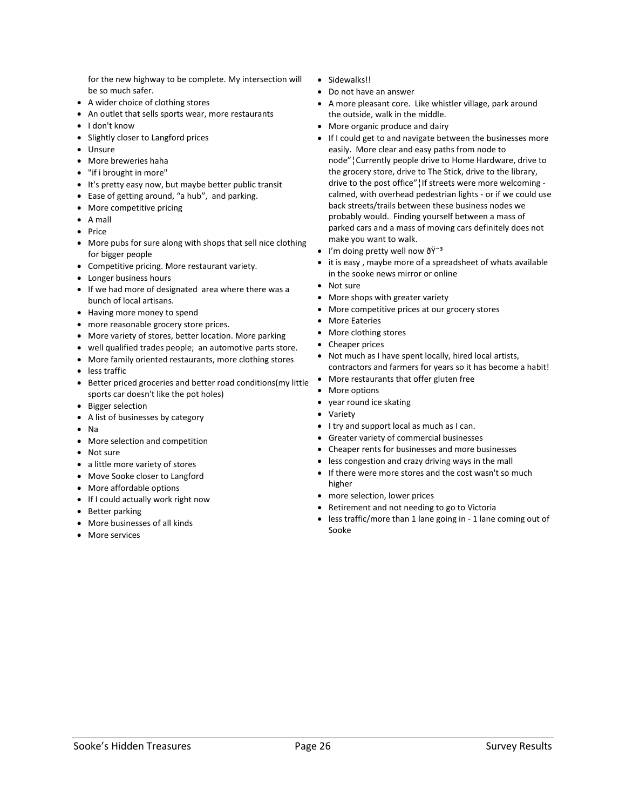for the new highway to be complete. My intersection will be so much safer.

- A wider choice of clothing stores
- An outlet that sells sports wear, more restaurants
- I don't know
- Slightly closer to Langford prices
- Unsure
- More breweries haha
- "if i brought in more"
- It's pretty easy now, but maybe better public transit
- Ease of getting around, "a hub", and parking.
- More competitive pricing
- A mall
- Price
- More pubs for sure along with shops that sell nice clothing for bigger people
- Competitive pricing. More restaurant variety.
- Longer business hours
- If we had more of designated area where there was a bunch of local artisans.
- Having more money to spend
- more reasonable grocery store prices.
- More variety of stores, better location. More parking
- well qualified trades people; an automotive parts store.
- More family oriented restaurants, more clothing stores
- less traffic
- Better priced groceries and better road conditions(my little sports car doesn't like the pot holes)
- Bigger selection
- A list of businesses by category
- Na
- More selection and competition
- Not sure
- a little more variety of stores
- Move Sooke closer to Langford
- More affordable options
- If I could actually work right now
- Better parking
- More businesses of all kinds
- More services
- Sidewalks!!
- Do not have an answer
- A more pleasant core. Like whistler village, park around the outside, walk in the middle.
- More organic produce and dairy
- If I could get to and navigate between the businesses more easily. More clear and easy paths from node to node"¦Currently people drive to Home Hardware, drive to the grocery store, drive to The Stick, drive to the library, drive to the post office"¦If streets were more welcoming calmed, with overhead pedestrian lights - or if we could use back streets/trails between these business nodes we probably would. Finding yourself between a mass of parked cars and a mass of moving cars definitely does not make you want to walk.
- I'm doing pretty well now  $\tilde{\sigma} \tilde{Y}^{\sim 3}$
- it is easy , maybe more of a spreadsheet of whats available in the sooke news mirror or online
- Not sure
- More shops with greater variety
- More competitive prices at our grocery stores
- More Eateries
- More clothing stores
- Cheaper prices
- Not much as I have spent locally, hired local artists, contractors and farmers for years so it has become a habit!
- More restaurants that offer gluten free
- More options
- year round ice skating
- Variety
- I try and support local as much as I can.
- Greater variety of commercial businesses
- Cheaper rents for businesses and more businesses
- less congestion and crazy driving ways in the mall
- If there were more stores and the cost wasn't so much higher
- more selection, lower prices
- Retirement and not needing to go to Victoria
- less traffic/more than 1 lane going in 1 lane coming out of Sooke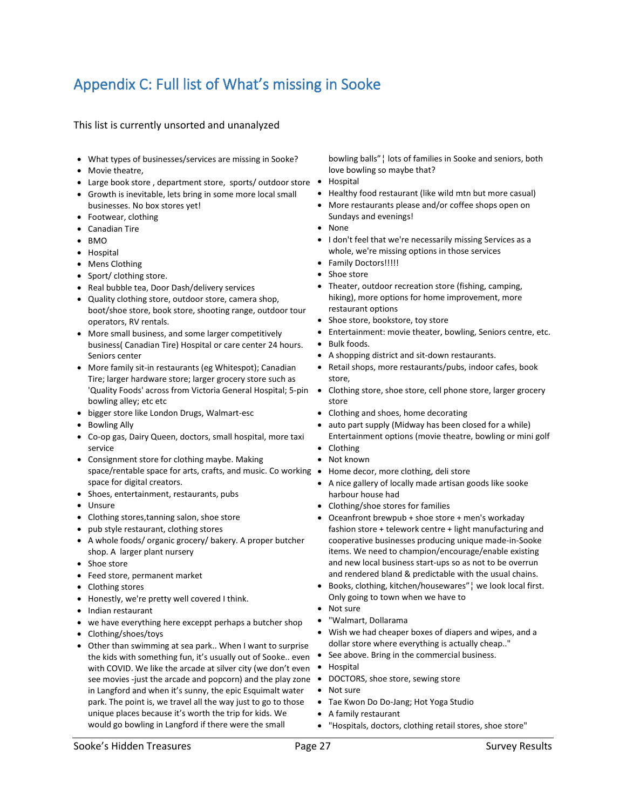# <span id="page-26-0"></span>Appendix C: Full list of What's missing in Sooke

#### This list is currently unsorted and unanalyzed

- What types of businesses/services are missing in Sooke?
- Movie theatre,
- Large book store, department store, sports/outdoor store •
- Growth is inevitable, lets bring in some more local small businesses. No box stores yet!
- Footwear, clothing
- Canadian Tire
- BMO
- Hospital
- Mens Clothing
- Sport/ clothing store.
- Real bubble tea, Door Dash/delivery services
- Quality clothing store, outdoor store, camera shop, boot/shoe store, book store, shooting range, outdoor tour operators, RV rentals.
- More small business, and some larger competitively business( Canadian Tire) Hospital or care center 24 hours. Seniors center
- More family sit-in restaurants (eg Whitespot); Canadian Tire; larger hardware store; larger grocery store such as 'Quality Foods' across from Victoria General Hospital; 5-pin bowling alley; etc etc
- bigger store like London Drugs, Walmart-esc
- Bowling Ally
- Co-op gas, Dairy Queen, doctors, small hospital, more taxi service
- Consignment store for clothing maybe. Making space/rentable space for arts, crafts, and music. Co working • Home decor, more clothing, deli store space for digital creators.
- Shoes, entertainment, restaurants, pubs
- Unsure
- Clothing stores,tanning salon, shoe store
- pub style restaurant, clothing stores
- A whole foods/ organic grocery/ bakery. A proper butcher shop. A larger plant nursery
- Shoe store
- Feed store, permanent market
- Clothing stores
- Honestly, we're pretty well covered I think.
- Indian restaurant
- we have everything here exceppt perhaps a butcher shop
- Clothing/shoes/toys
- Other than swimming at sea park.. When I want to surprise the kids with something fun, it's usually out of Sooke.. even  $\bullet$ with COVID. We like the arcade at silver city (we don't even • Hospital see movies -just the arcade and popcorn) and the play zone  $\bullet$ in Langford and when it's sunny, the epic Esquimalt water park. The point is, we travel all the way just to go to those unique places because it's worth the trip for kids. We would go bowling in Langford if there were the small

bowling balls"¦ lots of families in Sooke and seniors, both love bowling so maybe that?

- Hospital
- Healthy food restaurant (like wild mtn but more casual)
- More restaurants please and/or coffee shops open on Sundays and evenings!
- None
- I don't feel that we're necessarily missing Services as a whole, we're missing options in those services
- Family Doctors!!!!!
- Shoe store
- Theater, outdoor recreation store (fishing, camping, hiking), more options for home improvement, more restaurant options
- Shoe store, bookstore, toy store
- Entertainment: movie theater, bowling, Seniors centre, etc.
- Bulk foods.
- A shopping district and sit-down restaurants.
- Retail shops, more restaurants/pubs, indoor cafes, book store,
- Clothing store, shoe store, cell phone store, larger grocery store
- Clothing and shoes, home decorating
- auto part supply (Midway has been closed for a while) Entertainment options (movie theatre, bowling or mini golf
- Clothing
- Not known
- 
- A nice gallery of locally made artisan goods like sooke harbour house had
- Clothing/shoe stores for families
- Oceanfront brewpub + shoe store + men's workaday fashion store + telework centre + light manufacturing and cooperative businesses producing unique made-in-Sooke items. We need to champion/encourage/enable existing and new local business start-ups so as not to be overrun and rendered bland & predictable with the usual chains.
- Books, clothing, kitchen/housewares"¦ we look local first. Only going to town when we have to
- Not sure
- "Walmart, Dollarama
- Wish we had cheaper boxes of diapers and wipes, and a dollar store where everything is actually cheap.."
- See above. Bring in the commercial business.
- 
- DOCTORS, shoe store, sewing store
- Not sure
- Tae Kwon Do Do-Jang; Hot Yoga Studio
- A family restaurant
- "Hospitals, doctors, clothing retail stores, shoe store"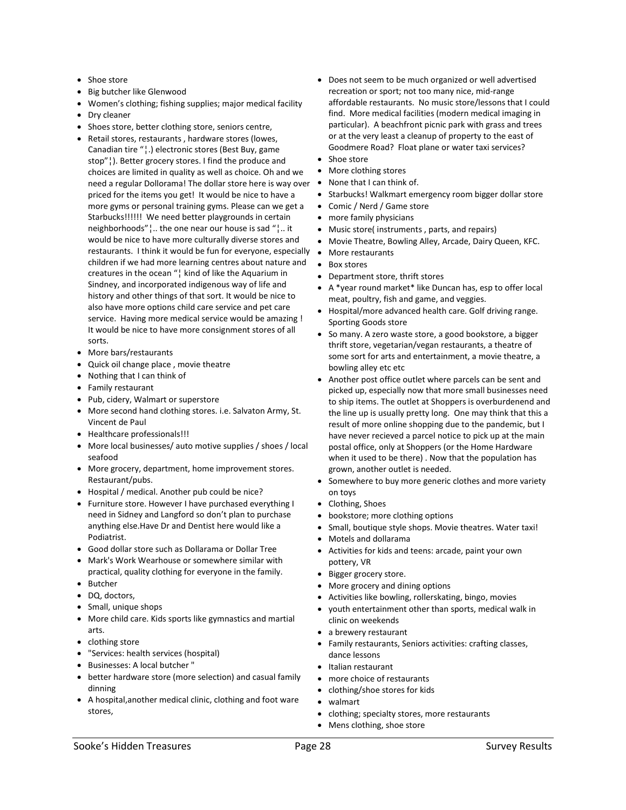- Shoe store
- Big butcher like Glenwood
- Women's clothing; fishing supplies; major medical facility
- Dry cleaner
- Shoes store, better clothing store, seniors centre,
- Retail stores, restaurants , hardware stores (lowes, Canadian tire "¦.) electronic stores (Best Buy, game stop"¦). Better grocery stores. I find the produce and choices are limited in quality as well as choice. Oh and we need a regular Dollorama! The dollar store here is way over  $\bullet$ priced for the items you get! It would be nice to have a more gyms or personal training gyms. Please can we get a Starbucks!!!!!! We need better playgrounds in certain neighborhoods"¦.. the one near our house is sad "¦.. it would be nice to have more culturally diverse stores and restaurants. I think it would be fun for everyone, especially children if we had more learning centres about nature and creatures in the ocean "¦ kind of like the Aquarium in Sindney, and incorporated indigenous way of life and history and other things of that sort. It would be nice to also have more options child care service and pet care service. Having more medical service would be amazing ! It would be nice to have more consignment stores of all sorts.
- More bars/restaurants
- Quick oil change place , movie theatre
- Nothing that I can think of
- Family restaurant
- Pub, cidery, Walmart or superstore
- More second hand clothing stores. i.e. Salvaton Army, St. Vincent de Paul
- Healthcare professionals!!!
- More local businesses/ auto motive supplies / shoes / local seafood
- More grocery, department, home improvement stores. Restaurant/pubs.
- Hospital / medical. Another pub could be nice?
- Furniture store. However I have purchased everything I need in Sidney and Langford so don't plan to purchase anything else.Have Dr and Dentist here would like a Podiatrist.
- Good dollar store such as Dollarama or Dollar Tree
- Mark's Work Wearhouse or somewhere similar with practical, quality clothing for everyone in the family.
- Butcher
- DQ, doctors,
- Small, unique shops
- More child care. Kids sports like gymnastics and martial arts.
- clothing store
- "Services: health services (hospital)
- Businesses: A local butcher "
- better hardware store (more selection) and casual family dinning
- A hospital,another medical clinic, clothing and foot ware stores,
- Does not seem to be much organized or well advertised recreation or sport; not too many nice, mid-range affordable restaurants. No music store/lessons that I could find. More medical facilities (modern medical imaging in particular). A beachfront picnic park with grass and trees or at the very least a cleanup of property to the east of Goodmere Road? Float plane or water taxi services?
- Shoe store
- More clothing stores
- None that I can think of.
- Starbucks! Walkmart emergency room bigger dollar store
- Comic / Nerd / Game store
- more family physicians
- Music store( instruments , parts, and repairs)
- Movie Theatre, Bowling Alley, Arcade, Dairy Queen, KFC.
- More restaurants
- Box stores
- Department store, thrift stores
- A \*year round market\* like Duncan has, esp to offer local meat, poultry, fish and game, and veggies.
- Hospital/more advanced health care. Golf driving range. Sporting Goods store
- So many. A zero waste store, a good bookstore, a bigger thrift store, vegetarian/vegan restaurants, a theatre of some sort for arts and entertainment, a movie theatre, a bowling alley etc etc
- Another post office outlet where parcels can be sent and picked up, especially now that more small businesses need to ship items. The outlet at Shoppers is overburdenend and the line up is usually pretty long. One may think that this a result of more online shopping due to the pandemic, but I have never recieved a parcel notice to pick up at the main postal office, only at Shoppers (or the Home Hardware when it used to be there) . Now that the population has grown, another outlet is needed.
- Somewhere to buy more generic clothes and more variety on toys
- Clothing, Shoes
- bookstore; more clothing options
- Small, boutique style shops. Movie theatres. Water taxi!
- Motels and dollarama
- Activities for kids and teens: arcade, paint your own pottery, VR
- Bigger grocery store.
- More grocery and dining options
- Activities like bowling, rollerskating, bingo, movies
- youth entertainment other than sports, medical walk in clinic on weekends
- a brewery restaurant
- Family restaurants, Seniors activities: crafting classes, dance lessons
- Italian restaurant
- more choice of restaurants
- clothing/shoe stores for kids
- walmart
- clothing; specialty stores, more restaurants
- Mens clothing, shoe store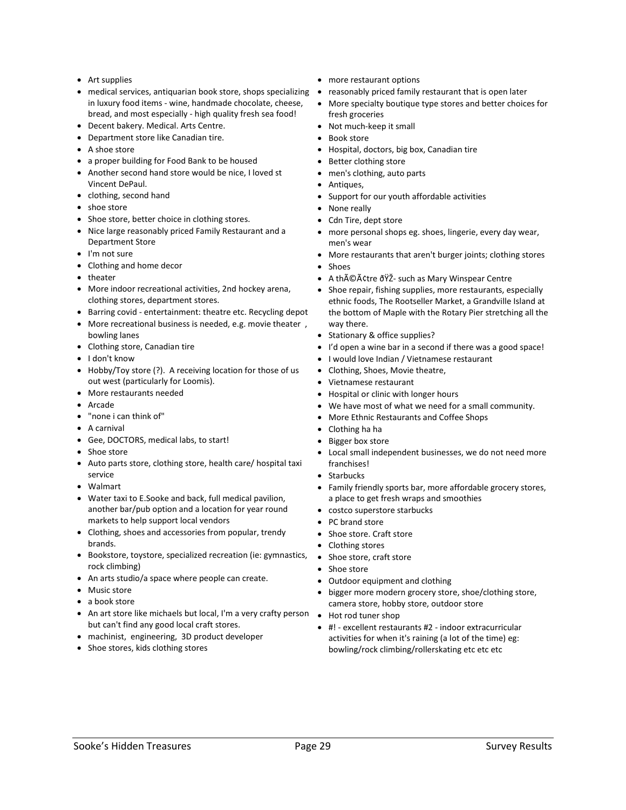- Art supplies
- medical services, antiquarian book store, shops specializing reasonably priced family restaurant that is open later in luxury food items - wine, handmade chocolate, cheese, bread, and most especially - high quality fresh sea food!
- Decent bakery. Medical. Arts Centre.
- Department store like Canadian tire.
- A shoe store
- a proper building for Food Bank to be housed
- Another second hand store would be nice, I loved st Vincent DePaul.
- clothing, second hand
- shoe store
- Shoe store, better choice in clothing stores.
- Nice large reasonably priced Family Restaurant and a Department Store
- I'm not sure
- Clothing and home decor
- theater
- More indoor recreational activities, 2nd hockey arena, clothing stores, department stores.
- Barring covid entertainment: theatre etc. Recycling depot
- More recreational business is needed, e.g. movie theater , bowling lanes
- Clothing store, Canadian tire
- I don't know
- Hobby/Toy store (?). A receiving location for those of us out west (particularly for Loomis).
- More restaurants needed
- Arcade
- "none i can think of"
- A carnival
- Gee, DOCTORS, medical labs, to start!
- Shoe store
- Auto parts store, clothing store, health care/ hospital taxi service
- Walmart
- Water taxi to E.Sooke and back, full medical pavilion, another bar/pub option and a location for year round markets to help support local vendors
- Clothing, shoes and accessories from popular, trendy brands.
- Bookstore, toystore, specialized recreation (ie: gymnastics, Shoe store, craft store rock climbing)
- An arts studio/a space where people can create.
- Music store
- a book store
- An art store like michaels but local, I'm a very crafty person Hot rod tuner shop but can't find any good local craft stores.
- machinist, engineering, 3D product developer
- Shoe stores, kids clothing stores
- more restaurant options
- 
- More specialty boutique type stores and better choices for fresh groceries
- Not much-keep it small
- Book store
- Hospital, doctors, big box, Canadian tire
- Better clothing store
- men's clothing, auto parts
- Antiques,
- Support for our youth affordable activities
- None really
- Cdn Tire, dept store
- more personal shops eg. shoes, lingerie, every day wear, men's wear
- More restaurants that aren't burger joints; clothing stores
- Shoes
- A théâtre ðŸŽ- such as Mary Winspear Centre
- Shoe repair, fishing supplies, more restaurants, especially ethnic foods, The Rootseller Market, a Grandville Island at the bottom of Maple with the Rotary Pier stretching all the way there.
- Stationary & office supplies?
- I'd open a wine bar in a second if there was a good space!
- I would love Indian / Vietnamese restaurant
- Clothing, Shoes, Movie theatre,
- Vietnamese restaurant
- Hospital or clinic with longer hours
- We have most of what we need for a small community.
- More Ethnic Restaurants and Coffee Shops
- Clothing ha ha
- Bigger box store
- Local small independent businesses, we do not need more franchises!
- Starbucks
- Family friendly sports bar, more affordable grocery stores, a place to get fresh wraps and smoothies
- costco superstore starbucks
- PC brand store
- Shoe store. Craft store
- Clothing stores
- 
- Shoe store
- Outdoor equipment and clothing
- bigger more modern grocery store, shoe/clothing store, camera store, hobby store, outdoor store
- 
- #! excellent restaurants #2 indoor extracurricular activities for when it's raining (a lot of the time) eg: bowling/rock climbing/rollerskating etc etc etc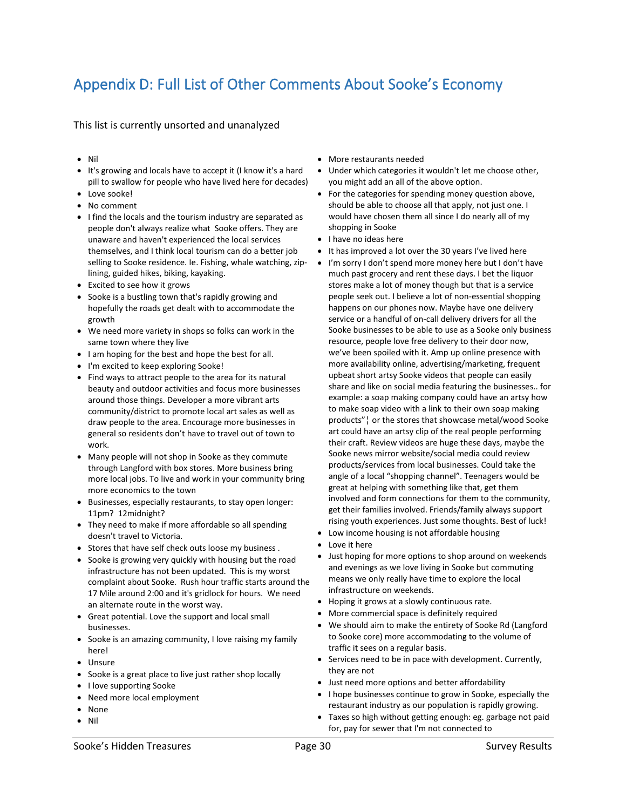# <span id="page-29-0"></span>Appendix D: Full List of Other Comments About Sooke's Economy

This list is currently unsorted and unanalyzed

- Nil
- It's growing and locals have to accept it (I know it's a hard pill to swallow for people who have lived here for decades)
- Love sooke!
- No comment
- I find the locals and the tourism industry are separated as people don't always realize what Sooke offers. They are unaware and haven't experienced the local services themselves, and I think local tourism can do a better job selling to Sooke residence. Ie. Fishing, whale watching, ziplining, guided hikes, biking, kayaking.
- Excited to see how it grows
- Sooke is a bustling town that's rapidly growing and hopefully the roads get dealt with to accommodate the growth
- We need more variety in shops so folks can work in the same town where they live
- I am hoping for the best and hope the best for all.
- I'm excited to keep exploring Sooke!
- Find ways to attract people to the area for its natural beauty and outdoor activities and focus more businesses around those things. Developer a more vibrant arts community/district to promote local art sales as well as draw people to the area. Encourage more businesses in general so residents don't have to travel out of town to work.
- Many people will not shop in Sooke as they commute through Langford with box stores. More business bring more local jobs. To live and work in your community bring more economics to the town
- Businesses, especially restaurants, to stay open longer: 11pm? 12midnight?
- They need to make if more affordable so all spending doesn't travel to Victoria.
- Stores that have self check outs loose my business .
- Sooke is growing very quickly with housing but the road infrastructure has not been updated. This is my worst complaint about Sooke. Rush hour traffic starts around the 17 Mile around 2:00 and it's gridlock for hours. We need an alternate route in the worst way.
- Great potential. Love the support and local small businesses.
- Sooke is an amazing community, I love raising my family here!
- Unsure
- Sooke is a great place to live just rather shop locally
- I love supporting Sooke
- Need more local employment
- None
- Nil
- More restaurants needed
- Under which categories it wouldn't let me choose other, you might add an all of the above option.
- For the categories for spending money question above, should be able to choose all that apply, not just one. I would have chosen them all since I do nearly all of my shopping in Sooke
- I have no ideas here
- It has improved a lot over the 30 years I've lived here
- I'm sorry I don't spend more money here but I don't have much past grocery and rent these days. I bet the liquor stores make a lot of money though but that is a service people seek out. I believe a lot of non-essential shopping happens on our phones now. Maybe have one delivery service or a handful of on-call delivery drivers for all the Sooke businesses to be able to use as a Sooke only business resource, people love free delivery to their door now, we've been spoiled with it. Amp up online presence with more availability online, advertising/marketing, frequent upbeat short artsy Sooke videos that people can easily share and like on social media featuring the businesses.. for example: a soap making company could have an artsy how to make soap video with a link to their own soap making products"¦ or the stores that showcase metal/wood Sooke art could have an artsy clip of the real people performing their craft. Review videos are huge these days, maybe the Sooke news mirror website/social media could review products/services from local businesses. Could take the angle of a local "shopping channel". Teenagers would be great at helping with something like that, get them involved and form connections for them to the community, get their families involved. Friends/family always support rising youth experiences. Just some thoughts. Best of luck!
- Low income housing is not affordable housing
- Love it here
- Just hoping for more options to shop around on weekends and evenings as we love living in Sooke but commuting means we only really have time to explore the local infrastructure on weekends.
- Hoping it grows at a slowly continuous rate.
- More commercial space is definitely required
- We should aim to make the entirety of Sooke Rd (Langford to Sooke core) more accommodating to the volume of traffic it sees on a regular basis.
- Services need to be in pace with development. Currently, they are not
- Just need more options and better affordability
- I hope businesses continue to grow in Sooke, especially the restaurant industry as our population is rapidly growing.
- Taxes so high without getting enough: eg. garbage not paid for, pay for sewer that I'm not connected to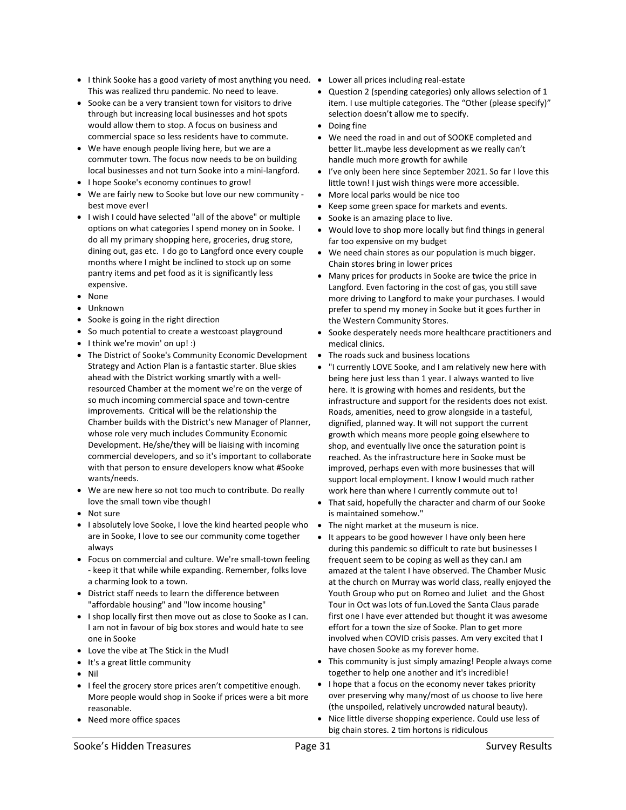- I think Sooke has a good variety of most anything you need. Lower all prices including real-estate This was realized thru pandemic. No need to leave.
- Sooke can be a very transient town for visitors to drive through but increasing local businesses and hot spots would allow them to stop. A focus on business and commercial space so less residents have to commute.
- We have enough people living here, but we are a commuter town. The focus now needs to be on building local businesses and not turn Sooke into a mini-langford.
- I hope Sooke's economy continues to grow!
- We are fairly new to Sooke but love our new community best move ever!
- I wish I could have selected "all of the above" or multiple options on what categories I spend money on in Sooke. I do all my primary shopping here, groceries, drug store, dining out, gas etc. I do go to Langford once every couple months where I might be inclined to stock up on some pantry items and pet food as it is significantly less expensive.
- None
- Unknown
- Sooke is going in the right direction
- So much potential to create a westcoast playground
- I think we're movin' on up! :)
- The District of Sooke's Community Economic Development Strategy and Action Plan is a fantastic starter. Blue skies ahead with the District working smartly with a wellresourced Chamber at the moment we're on the verge of so much incoming commercial space and town-centre improvements. Critical will be the relationship the Chamber builds with the District's new Manager of Planner, whose role very much includes Community Economic Development. He/she/they will be liaising with incoming commercial developers, and so it's important to collaborate with that person to ensure developers know what #Sooke wants/needs.
- We are new here so not too much to contribute. Do really love the small town vibe though!
- Not sure
- I absolutely love Sooke, I love the kind hearted people who are in Sooke, I love to see our community come together always
- Focus on commercial and culture. We're small-town feeling - keep it that while while expanding. Remember, folks love a charming look to a town.
- District staff needs to learn the difference between "affordable housing" and "low income housing"
- I shop locally first then move out as close to Sooke as I can. I am not in favour of big box stores and would hate to see one in Sooke
- Love the vibe at The Stick in the Mud!
- It's a great little community
- Nil
- I feel the grocery store prices aren't competitive enough. More people would shop in Sooke if prices were a bit more reasonable.
- Need more office spaces
- 
- Question 2 (spending categories) only allows selection of 1 item. I use multiple categories. The "Other (please specify)" selection doesn't allow me to specify.
- Doing fine
- We need the road in and out of SOOKE completed and better lit..maybe less development as we really can't handle much more growth for awhile
- I've only been here since September 2021. So far I love this little town! I just wish things were more accessible.
- More local parks would be nice too
- Keep some green space for markets and events.
- Sooke is an amazing place to live.
- Would love to shop more locally but find things in general far too expensive on my budget
- We need chain stores as our population is much bigger. Chain stores bring in lower prices
- Many prices for products in Sooke are twice the price in Langford. Even factoring in the cost of gas, you still save more driving to Langford to make your purchases. I would prefer to spend my money in Sooke but it goes further in the Western Community Stores.
- Sooke desperately needs more healthcare practitioners and medical clinics.
- The roads suck and business locations
- "I currently LOVE Sooke, and I am relatively new here with being here just less than 1 year. I always wanted to live here. It is growing with homes and residents, but the infrastructure and support for the residents does not exist. Roads, amenities, need to grow alongside in a tasteful, dignified, planned way. It will not support the current growth which means more people going elsewhere to shop, and eventually live once the saturation point is reached. As the infrastructure here in Sooke must be improved, perhaps even with more businesses that will support local employment. I know I would much rather work here than where I currently commute out to!
- That said, hopefully the character and charm of our Sooke is maintained somehow."
- The night market at the museum is nice.
- It appears to be good however I have only been here during this pandemic so difficult to rate but businesses I frequent seem to be coping as well as they can.I am amazed at the talent I have observed. The Chamber Music at the church on Murray was world class, really enjoyed the Youth Group who put on Romeo and Juliet and the Ghost Tour in Oct was lots of fun.Loved the Santa Claus parade first one I have ever attended but thought it was awesome effort for a town the size of Sooke. Plan to get more involved when COVID crisis passes. Am very excited that I have chosen Sooke as my forever home.
- This community is just simply amazing! People always come together to help one another and it's incredible!
- I hope that a focus on the economy never takes priority over preserving why many/most of us choose to live here (the unspoiled, relatively uncrowded natural beauty).
- Nice little diverse shopping experience. Could use less of big chain stores. 2 tim hortons is ridiculous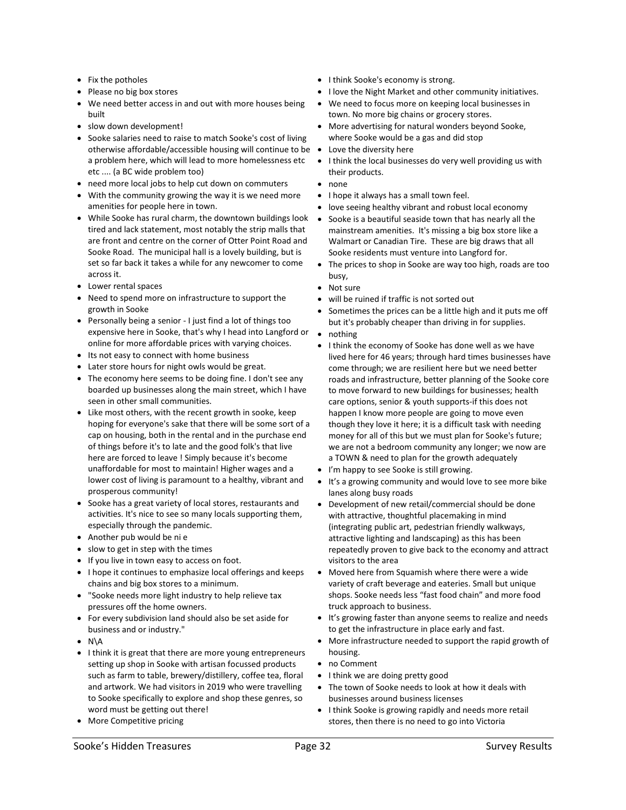- Fix the potholes
- Please no big box stores
- We need better access in and out with more houses being built
- slow down development!
- Sooke salaries need to raise to match Sooke's cost of living otherwise affordable/accessible housing will continue to be a problem here, which will lead to more homelessness etc etc .... (a BC wide problem too)
- need more local jobs to help cut down on commuters
- With the community growing the way it is we need more amenities for people here in town.
- While Sooke has rural charm, the downtown buildings look tired and lack statement, most notably the strip malls that are front and centre on the corner of Otter Point Road and Sooke Road. The municipal hall is a lovely building, but is set so far back it takes a while for any newcomer to come across it.
- Lower rental spaces
- Need to spend more on infrastructure to support the growth in Sooke
- Personally being a senior I just find a lot of things too expensive here in Sooke, that's why I head into Langford or online for more affordable prices with varying choices.
- Its not easy to connect with home business
- Later store hours for night owls would be great.
- The economy here seems to be doing fine. I don't see any boarded up businesses along the main street, which I have seen in other small communities.
- Like most others, with the recent growth in sooke, keep hoping for everyone's sake that there will be some sort of a cap on housing, both in the rental and in the purchase end of things before it's to late and the good folk's that live here are forced to leave ! Simply because it's become unaffordable for most to maintain! Higher wages and a lower cost of living is paramount to a healthy, vibrant and prosperous community!
- Sooke has a great variety of local stores, restaurants and activities. It's nice to see so many locals supporting them, especially through the pandemic.
- Another pub would be ni e
- slow to get in step with the times
- If you live in town easy to access on foot.
- I hope it continues to emphasize local offerings and keeps chains and big box stores to a minimum.
- "Sooke needs more light industry to help relieve tax pressures off the home owners.
- For every subdivision land should also be set aside for business and or industry."
- N\A
- I think it is great that there are more young entrepreneurs setting up shop in Sooke with artisan focussed products such as farm to table, brewery/distillery, coffee tea, floral and artwork. We had visitors in 2019 who were travelling to Sooke specifically to explore and shop these genres, so word must be getting out there!
- More Competitive pricing
- I think Sooke's economy is strong.
- I love the Night Market and other community initiatives.
- We need to focus more on keeping local businesses in town. No more big chains or grocery stores.
- More advertising for natural wonders beyond Sooke, where Sooke would be a gas and did stop
- Love the diversity here
- I think the local businesses do very well providing us with their products.
- none
- I hope it always has a small town feel.
- love seeing healthy vibrant and robust local economy
- Sooke is a beautiful seaside town that has nearly all the mainstream amenities. It's missing a big box store like a Walmart or Canadian Tire. These are big draws that all Sooke residents must venture into Langford for.
- The prices to shop in Sooke are way too high, roads are too busy,
- Not sure
- will be ruined if traffic is not sorted out
- Sometimes the prices can be a little high and it puts me off but it's probably cheaper than driving in for supplies.
- nothing
- I think the economy of Sooke has done well as we have lived here for 46 years; through hard times businesses have come through; we are resilient here but we need better roads and infrastructure, better planning of the Sooke core to move forward to new buildings for businesses; health care options, senior & youth supports-if this does not happen I know more people are going to move even though they love it here; it is a difficult task with needing money for all of this but we must plan for Sooke's future; we are not a bedroom community any longer; we now are a TOWN & need to plan for the growth adequately
- I'm happy to see Sooke is still growing.
- It's a growing community and would love to see more bike lanes along busy roads
- Development of new retail/commercial should be done with attractive, thoughtful placemaking in mind (integrating public art, pedestrian friendly walkways, attractive lighting and landscaping) as this has been repeatedly proven to give back to the economy and attract visitors to the area
- Moved here from Squamish where there were a wide variety of craft beverage and eateries. Small but unique shops. Sooke needs less "fast food chain" and more food truck approach to business.
- It's growing faster than anyone seems to realize and needs to get the infrastructure in place early and fast.
- More infrastructure needed to support the rapid growth of housing.
- no Comment
- I think we are doing pretty good
- The town of Sooke needs to look at how it deals with businesses around business licenses
- I think Sooke is growing rapidly and needs more retail stores, then there is no need to go into Victoria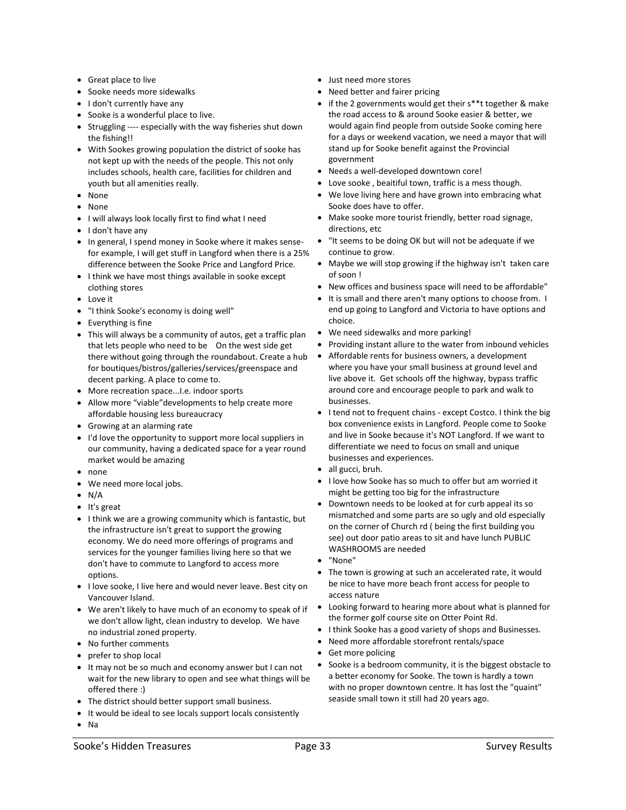- Great place to live
- Sooke needs more sidewalks
- I don't currently have any
- Sooke is a wonderful place to live.
- Struggling ---- especially with the way fisheries shut down the fishing!!
- With Sookes growing population the district of sooke has not kept up with the needs of the people. This not only includes schools, health care, facilities for children and youth but all amenities really.
- None
- None
- I will always look locally first to find what I need
- I don't have any
- In general, I spend money in Sooke where it makes sensefor example, I will get stuff in Langford when there is a 25% difference between the Sooke Price and Langford Price.
- I think we have most things available in sooke except clothing stores
- Love it
- "I think Sooke's economy is doing well"
- Everything is fine
- This will always be a community of autos, get a traffic plan that lets people who need to be On the west side get there without going through the roundabout. Create a hub for boutiques/bistros/galleries/services/greenspace and decent parking. A place to come to.
- More recreation space...I.e. indoor sports
- Allow more "viable"developments to help create more affordable housing less bureaucracy
- Growing at an alarming rate
- I'd love the opportunity to support more local suppliers in our community, having a dedicated space for a year round market would be amazing
- none
- We need more local jobs.
- $\bullet$  N/A
- It's great
- I think we are a growing community which is fantastic, but the infrastructure isn't great to support the growing economy. We do need more offerings of programs and services for the younger families living here so that we don't have to commute to Langford to access more options.
- I love sooke, I live here and would never leave. Best city on Vancouver Island.
- We aren't likely to have much of an economy to speak of if we don't allow light, clean industry to develop. We have no industrial zoned property.
- No further comments
- prefer to shop local
- It may not be so much and economy answer but I can not wait for the new library to open and see what things will be offered there :)
- The district should better support small business.
- It would be ideal to see locals support locals consistently
- Na
- Just need more stores
- Need better and fairer pricing
- if the 2 governments would get their s\*\*t together & make the road access to & around Sooke easier & better, we would again find people from outside Sooke coming here for a days or weekend vacation, we need a mayor that will stand up for Sooke benefit against the Provincial government
- Needs a well-developed downtown core!
- Love sooke, beaitiful town, traffic is a mess though.
- We love living here and have grown into embracing what Sooke does have to offer.
- Make sooke more tourist friendly, better road signage, directions, etc
- "It seems to be doing OK but will not be adequate if we continue to grow.
- Maybe we will stop growing if the highway isn't taken care of soon !
- New offices and business space will need to be affordable"
- It is small and there aren't many options to choose from. I end up going to Langford and Victoria to have options and choice.
- We need sidewalks and more parking!
- Providing instant allure to the water from inbound vehicles
- Affordable rents for business owners, a development where you have your small business at ground level and live above it. Get schools off the highway, bypass traffic around core and encourage people to park and walk to businesses.
- I tend not to frequent chains except Costco. I think the big box convenience exists in Langford. People come to Sooke and live in Sooke because it's NOT Langford. If we want to differentiate we need to focus on small and unique businesses and experiences.
- all gucci, bruh.
- I love how Sooke has so much to offer but am worried it might be getting too big for the infrastructure
- Downtown needs to be looked at for curb appeal its so mismatched and some parts are so ugly and old especially on the corner of Church rd ( being the first building you see) out door patio areas to sit and have lunch PUBLIC WASHROOMS are needed
- "None"
- The town is growing at such an accelerated rate, it would be nice to have more beach front access for people to access nature
- Looking forward to hearing more about what is planned for the former golf course site on Otter Point Rd.
- I think Sooke has a good variety of shops and Businesses.
- Need more affordable storefront rentals/space
- Get more policing
- Sooke is a bedroom community, it is the biggest obstacle to a better economy for Sooke. The town is hardly a town with no proper downtown centre. It has lost the "quaint" seaside small town it still had 20 years ago.